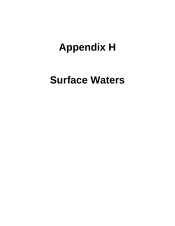# **Appendix H**

## **Surface Waters**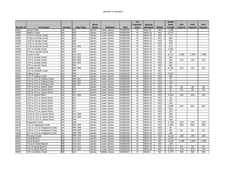|           |                               |                 |                  |              |                 |            | <b>VA</b>         |                 |                 | <b>Study</b>    |                |                 |                 |
|-----------|-------------------------------|-----------------|------------------|--------------|-----------------|------------|-------------------|-----------------|-----------------|-----------------|----------------|-----------------|-----------------|
|           |                               |                 |                  | <b>River</b> |                 |            | <b>Classific-</b> | <b>Special</b>  |                 | Area            | <b>VA1</b>     | VA <sub>2</sub> | VA <sub>3</sub> |
| Stream ID | <b>VA Stream</b>              | <b>Section</b>  | Map Page         | <b>Basin</b> | <b>Subbasin</b> | <b>HUC</b> | ation             | <b>Standard</b> | 303(d)          | Length          | <b>Impacts</b> | <b>Impacts</b>  | <b>Impacts</b>  |
| S001      | <b>James River</b>            | AA              | 001              | James        | Lower James     | 02080206   | Ш                 | <b>New-19</b>   | <b>YES</b>      | 1,188           |                |                 |                 |
| S002      | <b>Walker Creek</b>           | AA              | 001              | James        | Lower James     | 02080206   | Ш                 | <b>NEW-19</b>   | <b>NO</b>       | 2,471           |                |                 |                 |
| S003      | UT1a to Goode Creek           | AA              | 002              | James        | Lower James     | 02080206   | Ш                 | <b>NEW-19</b>   | <b>YES</b>      | 211             |                |                 |                 |
| S004      | UT1b to Goode Creek           | AA              | 002              | James        | Lower James     | 02080206   | Ш                 | <b>NEW-19</b>   | <b>YES</b>      | 460             |                |                 |                 |
| S005      | UT1f to Goode Creek           | AA              | 002              | James        | Lower James     | 02080206   | Ш                 | <b>NEW-19</b>   | <b>YES</b>      | 534             |                |                 |                 |
| S006      | UT1c to Goode Creek           | AA              | 002              | James        | Lower James     | 02080206   | Ш                 | <b>NEW-19</b>   | <b>YES</b>      | 270             |                |                 |                 |
| S007      | UT1d to Goode Creek           | AA              | 002.003          | James        | Lower James     | 02080206   | Ш                 | <b>NEW-19</b>   | <b>YES</b>      | 221             |                |                 |                 |
| S008      | UT1 to Goode Creek            | AA              | 003              | James        | Lower James     | 02080206   | Ш                 | <b>NEW-19</b>   | <b>YES</b>      | 1,052           |                |                 |                 |
| S009      | UT1e to Goode Creek           | AA              | 003              | James        | Lower James     | 02080206   | Ш                 | <b>NEW-19</b>   | <b>YES</b>      | 79              |                |                 |                 |
| S010      | Goode Creek                   | AA              | 003, 004         | James        | Lower James     | 02080206   | Ш                 | <b>NEW-19</b>   | <b>YES</b>      | 8,311           | 1,990          | 1,990           | 1,990           |
| S011      | UT2 to Goode Creek            | AA              | 003, 004         | James        | Lower James     | 02080206   | III               | <b>NEW-19</b>   | <b>YES</b>      | 304             |                |                 |                 |
| S012      | UT3 to Goode Creek            | AA              | 003, 004         | James        | Lower James     | 02080206   | Ш                 | <b>NEW-19</b>   | <b>YES</b>      | 330             | 132            | 132             | 132             |
| S013      | UT4 to Goode Creek            | AA              | 003, 004         | James        | Lower James     | 02080206   | III               | <b>NEW-19</b>   | <b>YES</b>      | 432             |                |                 |                 |
| S014      | UT5 to Goode Creek            | AA              | 004              | James        | Lower James     | 02080206   | III               | <b>NEW-19</b>   | <b>YES</b>      | 355             |                |                 |                 |
| S015      | <b>Grindall Creek</b>         | AA              | 005,006          | James        | Lower James     | 02080206   | Ш                 | <b>NEW-19</b>   | <b>NO</b>       | 6,782           | 222            | 222             | 222             |
| S016      | UT1 to Grindall Creek         | AA              | 006              | James        | Lower James     | 02080206   | III               | <b>NEW-19</b>   | $\overline{3}$  | 77              |                |                 |                 |
| S017      | <b>Falling Creek</b>          | AA              | 006              | James        | Lower James     | 02080206   | III               | <b>NEW-19</b>   | <b>YES</b>      | 2,837           |                |                 |                 |
| S018      | UT1 to Falling Creek          | AA              | 006              | James        | Lower James     | 02080206   | III               | <b>NEW-19</b>   | <b>YES</b>      | 393             |                |                 |                 |
| S019      | UT1 to UT1 to Falling Creek   | AA              | 006, 007         | James        | Lower James     | 02080206   | III               | <b>NEW-19</b>   | <b>YES</b>      | 51              |                |                 |                 |
| S020      | UT2 to UT1 to Falling Creek   | AA              | 006, 007         | James        | Lower James     | 02080206   | Ш                 | <b>NEW-19</b>   | <b>YES</b>      | 133             |                |                 |                 |
| S021      | UT3 to UT1 to Falling Creek   | AA              | 006, 007         | James        | Lower James     | 02080206   | III               | <b>NEW-19</b>   | <b>YES</b>      | 52              |                |                 |                 |
| S022      | UT2 to UT1 to James River     | AA              | 007              | James        | Lower James     | 02080206   | Ш                 | <b>NEW-19</b>   | <b>YES</b>      | 124             | 58             | 58              | 58              |
| S023      | UT1 to UT1 to James River     | AA              | 007              | James        | Lower James     | 02080206   | Ш                 | <b>NEW-19</b>   | <b>YES</b>      | 56              | 56             | 56              | 56              |
| S024      | UT3 to UT1 to James River     | AA              | 007              | James        | Lower James     | 02080206   | Ш                 | <b>NEW-19</b>   | <b>YES</b>      | 31              |                |                 |                 |
| S025      | UT1 to James River            | AA              | 007,008          | James        | Lower James     | 02080206   | Ш                 | <b>NEW-19</b>   | <b>YES</b>      | 6,039           | 426            | 426             | 426             |
| S026      | UT4 to UT1 to James River     | AA              | 007              | James        | Lower James     | 02080206   | Ш                 | <b>NEW-19</b>   | <b>YES</b>      | 34              |                |                 |                 |
| S027      | UT5 to UT1 to James River     | AA              | 007              | James        | Lower James     | 02080206   | Ш                 | <b>NEW-19</b>   | <b>YES</b>      | 197             |                |                 |                 |
| S028      | UT7 to UT1 to James River     | AA              | 007              | James        | Lower James     | 02080206   | Ш                 | <b>NEW-19</b>   | <b>YES</b>      | 205             |                |                 |                 |
| S029      | UT6 to UT1 to James River     | AA              | 007              | James        | Lower James     | 02080206   | Ш                 | <b>NEW-19</b>   | <b>YES</b>      | 1,060           | 542            | 542             | 542             |
| S030      | UT8 to UT1 to James River     | AA              | 007              | James        | Lower James     | 02080206   | Ш                 | <b>NEW-19</b>   | <b>YES</b>      | 261             |                |                 |                 |
| S031      | UT9 to UT1 to James River     | AA              | 007              | James        | Lower James     | 02080206   | Ш                 | <b>NEW-19</b>   | <b>YES</b>      | 123             |                |                 |                 |
| S032      | UT10 to UT1 to James River    | AA              | 007,008          | James        | Lower James     | 02080206   | Ш                 | <b>NEW-19</b>   | <b>YES</b>      | 283             |                |                 |                 |
| S033      | UT11 to UT1 to James River    | AA              | 007,008          | James        | Lower James     | 02080206   | Ш                 | <b>NEW-19</b>   | <b>YES</b>      | 249             |                |                 |                 |
| S034      | UT12 to UT1 to James River    | AA              | 008              | James        | Lower James     | 02080206   | Ш                 | <b>NEW-19</b>   | <b>YES</b>      | 164             |                |                 |                 |
| S035      | Kingsland Creek               | AA              | 008              | James        | Lower James     | 02080206   | Ш                 | <b>NEW-19</b>   | <b>YES</b>      | 1,769           | 153            | 153             | 153             |
| S036      | UT1 to Kingsland Creek        | <b>AA</b>       | 008, 009         | James        | Lower James     | 02080206   | Ш                 | <b>NEW-19</b>   | <b>YES</b>      | 2,492           | 669            | 669             | 669             |
| S037      | UT1 to UT1 to Kingsland Creek | <b>AA</b>       | 008, 009         | James        | Lower James     | 02080206   | Ш                 | <b>NEW-19</b>   | <b>YES</b>      | 40              |                |                 |                 |
| S038      | UT3 to UT1 to Kingsland Creek | AA              | 008,009          | James        | Lower James     | 02080206   | Ш                 | <b>NEW-19</b>   | <b>YES</b>      | $\overline{96}$ | 81             | 81              | 81              |
| S039      | UT2 to UT1 to Kingsland Creek | AA              | 008, 009         | James        | Lower James     | 02080206   | Ш                 | <b>NEW-19</b>   | <b>YES</b>      | 390             |                |                 |                 |
| S040      | <b>Proctors Creek</b>         | <b>AA</b>       | 009, 010         | James        | Lower James     | 02080206   | Ш                 | <b>NEW-19</b>   | <b>YES</b>      | 2,224           | 189            | 189             | 189             |
| S041      | <b>Great Branch</b>           | $\overline{AA}$ | 010, 011         | James        | Lower James     | 02080206   | Ш                 | <b>NEW-19</b>   | <b>NO</b>       | 1,870           |                |                 |                 |
| S041      | <b>Great Branch</b>           | <b>BB</b>       | 010, 011         | James        | Lower James     | 02080206   | III               | <b>NEW-19</b>   | <b>NO</b>       | 4,292           | 1,085          | 1,085           | 1,085           |
| S042      | UT1a to Great Branch          | <b>BB</b>       | 010, 011         | James        | Lower James     | 02080206   | Ш                 | <b>NEW-19</b>   | <b>NO</b>       | 143             |                |                 |                 |
| S043      | UT1 to Great Branch           | <b>BB</b>       | 010, 011         | James        | Lower James     | 02080206   | Ш                 | <b>NEW-19</b>   | <b>NO</b>       | 1,017           | 93             | 93              | 93              |
| S044      | UT2 to Great Branch           | <b>BB</b>       | 011, 012         | James        | Lower James     | 02080206   | Ш                 | <b>NEW-19</b>   | $\overline{10}$ | 5,379           | 278            | 278             | 278             |
| S045      | UT1 to Ashton Creek           | BB              | $\overline{012}$ | James        | Middle James    | 02080207   | Ш                 | NEW-2           | <b>NO</b>       | 2,779           | 362            | 362             | 362             |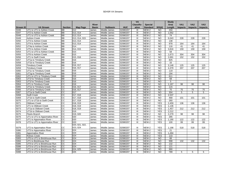|                  |                                |                        |                 |              |                     |            | <b>VA</b>                 |                 |                 | <b>Study</b>      |                  |                  |                  |
|------------------|--------------------------------|------------------------|-----------------|--------------|---------------------|------------|---------------------------|-----------------|-----------------|-------------------|------------------|------------------|------------------|
|                  |                                |                        |                 | <b>River</b> |                     |            | <b>Classific-</b>         | <b>Special</b>  |                 | Area              | <b>VA1</b>       | <b>VA2</b>       | VA <sub>3</sub>  |
| <b>Stream ID</b> | <b>VA Stream</b>               | <b>Section</b>         | <b>Map Page</b> | <b>Basin</b> | <b>Subbasin</b>     | <b>HUC</b> | ation                     | <b>Standard</b> | 303(d)          | Length            | <b>Impacts</b>   | <b>Impacts</b>   | <b>Impacts</b>   |
| S046             | UT1 to UT1 to Ashton Creek     | BB                     | 012             | James        | Middle James        | 02080207   | Ш                         | $NEW-2$         | <b>NO</b>       | 204               |                  |                  |                  |
| S047             | UT2 to Ashton Creek            | <b>BB</b>              | 013, 014        | James        | Middle James        | 02080207   | III                       | NEW-2           | <b>NO</b>       | 1,052             |                  |                  |                  |
| S048             | UT1 to UT2 to Ashton Creek     | <b>BB</b>              | 013, 014        | James        | Middle James        | 02080207   | III                       | NEW-2           | <b>NO</b>       | $\overline{74}$   |                  |                  |                  |
| S049             | <b>Ashton Creek</b>            | <b>BB</b>              | 013, 014, 015   | James        | Middle James        | 02080207   | Ш                         | NEW-2           | N <sub>O</sub>  | 6,043             | 228              | $\overline{228}$ | 228              |
| S050             | UT3 to Ashton Creek            | BB                     | 013, 014        | James        | Middle James        | 02080207   | $\overline{\mathsf{III}}$ | NEW-2           | $\overline{NO}$ | 138               |                  |                  |                  |
| S051             | UT4 to Ashton Creek            | $\overline{BB}$        | 013, 014        | James        | Middle James        | 02080207   | III                       | NEW-2           | $\overline{3}$  | 978               | 164              | 164              | 164              |
| S052             | UT4a to Ashton Creek           | $\overline{BB}$        | 014             | James        | Middle James        | 02080207   | III                       | NEW-2           | <b>NO</b>       | $\frac{116}{116}$ | 41               | 41               | 41               |
| S053             | UT5 to Ashton Creek            | BB                     | 014, 015        | James        | Middle James        | 02080207   | Ш                         | NEW-2           | N <sub>O</sub>  | 3,816             | 159              | 159              | 159              |
| S054             | UT1 to UT5 to Ashton Creek     | $\overline{BB}$        | 015             | James        | Middle James        | 02080207   | III                       | NEW-2           | N <sub>O</sub>  | 58                |                  |                  |                  |
| S055             | UT6 to Ashton Creek            | $\overline{BB}$        | 015             | James        | Middle James        | 02080207   | Ш                         | NEW-2           | N <sub>O</sub>  | 1,673             | 304              | 304              | 304              |
| S056             | UT1 to Swift Creek             | BB                     | 015, 016        | James        | Middle James        | 02080207   | Ш                         | NEW-2           | <b>NO</b>       | 2,691             | 152              | 152              | 152              |
| S057             | UT1a to Timsbury Creek         | BB                     | 016             | James        | Middle James        | 02080207   | Ш                         | NEW-2           | <b>NO</b>       | 825               |                  |                  |                  |
| S058             | UT1b to Timsbury Creek         | $\overline{BB}$        | 016             | James        | Middle James        | 02080207   | Ш                         | NEW-2           | N <sub>O</sub>  | 33                |                  |                  |                  |
| S059             | <b>Timsbury Creek</b>          | BB                     | 016, 017        | James        | Middle James        | 02080207   | Ш                         | NEW-2           | <b>NO</b>       | 3,148             | 125              | 125              | 125              |
| S059             | <b>Timsbury Creek</b>          | $\overline{\text{cc}}$ | 016, 017        | James        | Middle James        | 02080207   | III                       | NEW-2           | N <sub>O</sub>  | 4,379             | $\overline{207}$ | 207              | $\overline{207}$ |
| S060             | UT1c to Timsbury Creek         | $\overline{BB}$        | 016             | James        | Middle James        | 02080207   | Ш                         | NEW-2           | N <sub>O</sub>  | 119               |                  |                  |                  |
| S061             | UT1g to Timsbury Creek         | $\overline{BB}$        | 016             | James        | Middle James        | 02080207   | Ш                         | NEW-2           | N <sub>O</sub>  | 194               |                  |                  |                  |
| S062             | UT1 to UT1 to Timsbury Creek   | <b>BB</b>              | 016             | James        | Middle James        | 02080207   | III                       | NEW-2           | <b>NO</b>       | 611               |                  |                  |                  |
| S063             | UT1f to Timsbury Creek         | <b>BB</b>              | 016             | James        | <b>Middle James</b> | 02080207   | III                       | <b>NEW-2</b>    | <b>NO</b>       | 68                |                  |                  |                  |
| S063             | UT1f to Timsbury Creek         | $\overline{cc}$        | 016             | James        | Middle James        | 02080207   | III                       | NEW-2           | <b>NO</b>       | 5                 |                  |                  |                  |
| S064             | UT1 to Timsbury Creek          | CC                     | 016             | James        | Middle James        | 02080207   | III                       | NEW-2           | <b>NO</b>       | 1.167             | 98               | 98               | 98               |
| S065             | UT1e to Timsbury Creek         | $\overline{cc}$        | 016, 017        | James        | Middle James        | 02080207   | Ш                         | <b>NEW-2</b>    | <b>NO</b>       | 115               |                  |                  |                  |
| S066             | UT1d to Timsbury Creek         | $\overline{cc}$        | 016, 017        | James        | Middle James        | 02080207   | Ш                         | <b>NEW-2</b>    | <b>NO</b>       | 70                | 70               | 70               | 70               |
| S067             | UT1a to Swift Creek            | $\overline{cc}$        | 017             | James        | Middle James        | 02080207   | III                       | NEW-2           | N <sub>O</sub>  | 304               | 5                | 5                | 5                |
| S068             | <b>Swift Creek</b>             | $\overline{cc}$        | 017, 018        | James        | Middle James        | 02080207   | $\overline{\mathsf{III}}$ | NEW-2           | $\overline{NO}$ | 2,537             |                  |                  |                  |
| S069             | UT1b to Swift Creek            | $\overline{\text{cc}}$ | 017, 018        | James        | Middle James        | 02080207   | III                       | NEW-2           | <b>NO</b>       | 468               | 101              | 101              | 101              |
| S070             | UT1 to UT1b to Swift Creek     | $\overline{cc}$        | 017, 018        | James        | Middle James        | 02080207   | Ш                         | NEW-2           | N <sub>O</sub>  | 260               |                  |                  |                  |
| S071             | <b>Oldtown Creek</b>           | $\overline{cc}$        | 018, 019        | James        | Middle James        | 02080207   | Ш                         | NEW-2           | <b>YES</b>      | 2,459             | 136              | 136              | 136              |
| S072             | UT1 to Oldtown Creek           | $\overline{cc}$        | 018, 019        | James        | Middle James        | 02080207   | Ш                         | NEW-2           | <b>YES</b>      | 1,136             |                  |                  |                  |
| S073             | UT1a to Oldtown Creek          | $\overline{cc}$        | 018, 019        | James        | Middle James        | 02080207   | III                       | NEW-2           | <b>YES</b>      | 1,457             | 212              | 212              | 212              |
| S074             | UT1b to Oldtown Creek          | cc                     | 019             | James        | Middle James        | 02080207   | Ш                         | NEW-2           | <b>YES</b>      | 2,212             |                  |                  |                  |
| S075             | <b>Fleets Branch</b>           | cc                     | 019, 020        | James        | Middle James        | 02080207   | III                       | NEW-2           | N <sub>O</sub>  | 2,279             | 98               | 98               | 98               |
| S076             | UT1 to UT1 to Appomattox River | $\overline{cc}$        | 020             | James        | Middle James        | 02080207   | Ш                         | NEW-2           | <b>YES</b>      | 285               |                  |                  |                  |
| S077             | UT1 to Appomattox River        | $\overline{cc}$        | 020             | James        | Middle James        | 02080207   | Ш                         | NEW-2           | <b>YES</b>      | 1,190             | 122              | 122              | 122              |
| S078             | UT2 to UT1 to Appomattox River | $\overline{cc}$        | 020             | James        | Middle James        | 02080207   | III                       | NEW-2           | <b>YES</b>      | 100               | 99               | 99               | 99               |
|                  |                                |                        | 020, 021, 022,  |              |                     |            |                           |                 |                 |                   |                  |                  |                  |
| S079             | UT2 to Appomattox River        | CC                     | 023, 024        | James        | Middle James        | 02080207   | Ш                         | NEW-2           | <b>YES</b>      | 1,198             | 518              | 518              | 518              |
| S080             | UT3 to Appomattox River        | $\overline{cc}$        | 024             | James        | Middle James        | 02080207   | III                       | NEW-2           | <b>YES</b>      | 21                |                  |                  |                  |
| S081             | <b>Appomattox River</b>        | CC                     | 024             | James        | Middle James        | 02080207   | III                       | NEW-2           | <b>YES</b>      | 1,494             |                  |                  |                  |
| S082             | Rohoic Creek                   | cc                     | 024             | James        | Middle James        | 02080207   | III                       | NEW-2           | <b>YES</b>      | 133               |                  |                  |                  |
| S083             | UT5 to UT1 to Brickhouse Run   | $\overline{cc}$        | 024             | James        | <b>Middle James</b> | 02080207   | III                       | NEW-2           | N <sub>O</sub>  | $\overline{88}$   |                  |                  |                  |
| S084             | UT1 to Brickhouse Run          | $\overline{cc}$        | 024             | James        | Middle James        | 02080207   | III                       | NEW-2           | $\overline{N}$  | 998               | 132              | 132              | 132              |
| S085             | UT4 to UT1 to Brickhouse Run   | $\overline{cc}$        | 024             | James        | <b>Middle James</b> | 02080207   | Ш                         | NEW-2           | $\overline{3}$  | 132               |                  |                  |                  |
| S086             | UT3 to UT1 to Brickhouse Run   | $\overline{cc}$        | 024             | James        | Middle James        | 02080207   | III                       | NEW-2           | <b>NO</b>       | 121               |                  |                  |                  |
| S087             | UT1 to UT1 to Brickhouse Run   | $\overline{cc}$        | 024, 025        | James        | Middle James        | 02080207   | III                       | NEW-2           | <b>NO</b>       | 990               |                  |                  |                  |
| S088             | UT2 to UT1 to Brickhouse Run   | $\overline{cc}$        | 025             | James        | Middle James        | 02080207   | III                       | NEW-2           | <b>NO</b>       | 789               | 5                | 5                | 5                |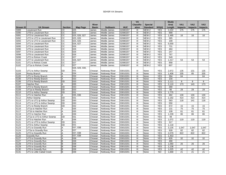|                                      |                              |                 |                  |              |                       |            | <b>VA</b>         |                 |            | <b>Study</b> |                 |                |                 |
|--------------------------------------|------------------------------|-----------------|------------------|--------------|-----------------------|------------|-------------------|-----------------|------------|--------------|-----------------|----------------|-----------------|
|                                      |                              |                 |                  | <b>River</b> |                       |            | <b>Classific-</b> | <b>Special</b>  |            | Area         | VA <sub>1</sub> | <b>VA2</b>     | VA <sub>3</sub> |
| <b>Stream ID</b>                     | <b>VA Stream</b>             | <b>Section</b>  | Map Page         | <b>Basin</b> | <b>Subbasin</b>       | <b>HUC</b> | ation             | <b>Standard</b> | 303(d)     | Length       | <b>Impacts</b>  | <b>Impacts</b> | <b>Impacts</b>  |
| S089                                 | Lieutenant Run               | CС              | 025              | James        | Middle James          | 02080207   | Ш                 | $NEW-2$         | <b>YES</b> | 2.222        | 175             | 175            | 175             |
| S090                                 | UT8 to Lieutenant Run        | $\overline{cc}$ | 025              | James        | Middle James          | 02080207   | Ш                 | $NEW-2$         | <b>YES</b> | 999          |                 |                |                 |
| S091                                 | UT2 to Lieutenant Run        | CС              | 025, 026, 027    | James        | Middle James          | 02080207   | Ш                 | NEW-2           | <b>YES</b> | 1,485        | 16              | 16             | 16              |
| S092                                 | UT2 to UT2 to Lieutenant Run | $\overline{cc}$ | 025, 026         | James        | Middle James          | 02080207   | III               | NEW-2           | <b>YES</b> | 365          |                 |                |                 |
| S093                                 | UT1 to UT2 to Lieutenant Run | $\overline{cc}$ | 025, 026         | James        | Middle James          | 02080207   | III               | NEW-2           | <b>YES</b> | 199          |                 |                |                 |
| S094                                 | UT1 to Lieutenant Run        | $\overline{cc}$ | 026, 027         | James        | Middle James          | 02080207   | Ш                 | NEW-2           | <b>YES</b> | 5,000        |                 |                |                 |
| S095                                 | UT3 to Lieutenant Run        | CС              | 026              | James        | Middle James          | 02080207   | Ш                 | NEW-2           | <b>YES</b> | 731          |                 |                |                 |
| S096                                 | UT5 to Lieutenant Run        | $\overline{cc}$ | 026              | James        | Middle James          | 02080207   | Ш                 | NEW-2           | <b>YES</b> | 484          |                 |                |                 |
| S097                                 | UT4 to Lieutenant Run        | $\overline{cc}$ | 026              | James        | Middle James          | 02080207   | Ш                 | NEW-2           | <b>YES</b> | 247          |                 |                |                 |
| S098                                 | UT6 to Lieutenant Run        | $\overline{cc}$ | 026              | James        | Middle James          | 02080207   | Ш                 | NEW-2           | <b>YES</b> | 767          |                 |                |                 |
| S099                                 | UT2 to Rohoic Creek          | $\overline{cc}$ | $\overline{027}$ | James        | Middle James          | 02080207   | III               | $NEW-2$         | <b>YES</b> | 549          |                 |                |                 |
| S100                                 | UT7 to Lieutenant Run        | $\overline{cc}$ | 026, 027         | James        | Middle James          | 02080207   | III               | NEW-2           | <b>YES</b> | 1,317        | 53              | 53             | 53              |
| S101                                 | UT1 to Rohoic Creek          | $\overline{cc}$ | $\overline{027}$ | James        | Middle James          | 02080207   | III               | NEW-2           | <b>YES</b> | 958          |                 |                |                 |
| S102                                 | UT1a to Rohoic Creek         | CС              | 027              | James        | Middle James          | 02080207   | III               | NEW-2           | <b>YES</b> | 607          |                 |                |                 |
|                                      |                              |                 | 028, 029, 030,   |              |                       |            |                   |                 |            |              |                 |                |                 |
| S103                                 | UT1 to Arthur Swamp          | DD              | 031              | Chowan       | Nottoway River        | 03010201   | Ш                 | None            | <b>YES</b> | 2,972        | 135             | 131            | 135             |
| S104                                 | Rocky Branch                 | Α               | 034              | Chowan       | Nottoway River        | 03010201   | III               | None            | <b>YES</b> | 1,406        | 205             | 85             | 205             |
| S105                                 | UT1 to Rocky Branch          | A               | 034              | Chowan       | Nottoway River        | 03010201   | III               | None            | <b>YES</b> | 394          | 64              |                | 64              |
| S106                                 | UT3 to Reedy Branch          | A               | 033              | Chowan       | Nottoway River        | 03010201   | III               | None            | <b>YES</b> | 100          |                 |                |                 |
| S106                                 | UT3 to Reedy Branch          | DD              | 033              | Chowan       | Nottoway River        | 03010201   | Ш                 | None            | <b>YES</b> | 2,111        | 8               | 8              | 8               |
| S107                                 | Hatcher Run                  | Α               | 035              | Chowan       | Nottoway River        | 03010201   | Ш                 | None            | <b>YES</b> | 2,110        | 173             | 143            | 173             |
| S108                                 | UT2 to Reedy Branch          | DD              | 033              | Chowan       | <b>Nottoway River</b> | 03010201   | Ш                 | None            | <b>YES</b> | 280          |                 |                |                 |
| S109                                 | UT1a to Reedy Branch         | DD              | 033              | Chowan       | <b>Nottoway River</b> | 03010201   | Ш                 | None            | <b>YES</b> | 86           | 29              | 29             | 29              |
| S110                                 | UT2 to Arthur Swamp          | DD              | 031              | Chowan       | Nottoway River        | 03010201   | Ш                 | None            | <b>YES</b> | 1,775        |                 |                |                 |
| S111                                 | UT1 to Hatcher Run           | Α               | 035, 036         | Chowan       | <b>Nottoway River</b> | 03010201   | Ш                 | None            | <b>YES</b> | 482          | 130             | 130            | 130             |
| S112                                 | Arthur Swamp                 | DD              | 031              | Chowan       | Nottoway River        | 03010201   | Ш                 | None            | <b>YES</b> | 2,182        | 414             | 414            | 414             |
| S113                                 | UT1 to UT1 tp Arthur Swamp   | DD              | 030              | Chowan       | Nottoway River        | 03010201   | Ш                 | None            | <b>YES</b> | 583          | 118             | 141            | 118             |
| S114                                 | UT1 to UT1 to Arthur Swamp   | DD              | 030              | Chowan       | Nottoway River        | 03010201   | Ш                 | None            | <b>YES</b> | 550          |                 |                |                 |
| S115                                 | UT1 to Reedy Branch          | DD              | 032              | Chowan       | Nottoway River        | 03010201   | Ш                 | None            | <b>YES</b> | 672          | 15              | 15             | 15              |
| S116                                 | UT1a to Hatcher Run          | Α               | 035              | Chowan       | Nottoway River        | 03010201   | Ш                 | None            | <b>YES</b> | 131          | 75              | 75             | 75              |
| S117                                 | UT1b to Hatcher Run          | Α               | 035              | Chowan       | Nottoway River        | 03010201   | Ш                 | None            | <b>YES</b> | 109          | 61              | 61             | 61              |
| S118                                 | UT2 to Hatcher Run           | A               | 036              | Chowan       | Nottoway River        | 03010201   | Ш                 | None            | <b>YES</b> | 1,239        | 86              | 86             | 86              |
| S119                                 | UT1a to UT3 to Arthur Swamp  | DD              | 031              | Chowan       | Nottoway River        | 03010201   | Ш                 | None            | <b>YES</b> | 48           |                 |                |                 |
| S120                                 | UT3 to Hatcher Run           | А               | 036              | Chowan       | Nottoway River        | 03010201   | Ш                 | None            | <b>YES</b> | 1,072        | 119             | 119            | 119             |
| S121                                 | UT1 to UT3 to Arthur Swamp   | DD              | 031              | Chowan       | Nottoway River        | 03010201   | Ш                 | None            | <b>YES</b> | 317          |                 |                |                 |
| S122                                 | UT3 to Arthur Swamp          | DD              | 031              | Chowan       | Nottoway River        | 03010201   | Ш                 | None            | <b>YES</b> | 1,118        |                 |                |                 |
| S123                                 | UT1 to Gravelly Run          | Α               | 037, 038         | Chowan       | <b>Nottoway River</b> | 03010201   | Ш                 | None            | <b>YES</b> | 3,135        | 1,047           | 1,047          | 1,047           |
| S124                                 | UT2a to Gravelly Run         | Α               | 037              | Chowan       | Nottoway River        | 03010201   | Ш                 | None            | <b>YES</b> | 928          | 82              | 82             | 82              |
| S125                                 | UT2 to Gravelly Run          | Α               | 037, 038         | Chowan       | Nottoway River        | 03010201   | Ш                 | None            | <b>YES</b> | 2,079        | 822             | 822            | 822             |
| S126                                 | <b>Gravelly Run</b>          | Α               | 037, 038         | Chowan       | Nottoway River        | 03010201   | Ш                 | None            | <b>YES</b> | 1,453        |                 |                |                 |
| S127                                 | UT3 to Gravelly Run          | Α               | 038              | Chowan       | Nottoway River        | 03010201   | Ш                 | None            | <b>YES</b> | 826          | 32              | 32             | 32              |
| S127                                 | UT3 to Gravelly Run          | R               | 038              | Chowan       | Nottoway River        | 03010201   | Ш                 | None            | <b>YES</b> | 490          |                 |                |                 |
| S128                                 | UT4 to Gravelly Run          | B               | 038              | Chowan       | Nottoway River        | 03010201   | Ш                 | None            | <b>YES</b> | 1,060        | $\overline{26}$ | 26             | 26              |
| S129                                 | UT5 to Gravelly Run          | R               | 038              | Chowan       | <b>Nottoway River</b> | 03010201   | Ш                 | None            | <b>YES</b> | 1,138        |                 |                |                 |
| S <sub>130</sub><br>S <sub>131</sub> | UT6 to Gravelly Run          | B               | 039              | Chowan       | Nottoway River        | 03010201   | Ш                 | None            | <b>YES</b> | 1,025        | 42              | 42             | 42              |
|                                      | UT1 to Little Cattail Creek  | B               | 039              | Chowan       | Nottoway River        | 03010201   | Ш                 | None            | <b>NO</b>  | 1,668        | 21              | 21             | 21              |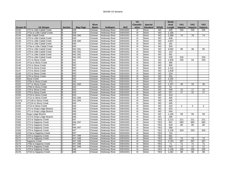|                                      |                              |                |                  |              |                       |            | <b>VA</b>         |                 |                | <b>Study</b> |                       |                 |                 |
|--------------------------------------|------------------------------|----------------|------------------|--------------|-----------------------|------------|-------------------|-----------------|----------------|--------------|-----------------------|-----------------|-----------------|
|                                      |                              |                |                  | <b>River</b> |                       |            | <b>Classific-</b> | <b>Special</b>  |                | Area         | <b>VA1</b>            | <b>VA2</b>      | VA <sub>3</sub> |
| <b>Stream ID</b>                     | <b>VA Stream</b>             | <b>Section</b> | Map Page         | <b>Basin</b> | <b>Subbasin</b>       | <b>HUC</b> | ation             | <b>Standard</b> | 303(d)         | Length       | <b>Impacts</b>        | <b>Impacts</b>  | <b>Impacts</b>  |
| $\overline{$}$ S132                  | UT2 to Little Cattail Creek  | B              | 039              | Chowan       | <b>Nottoway River</b> | 03010201   | Ш                 | None            | <b>NO</b>      | 630          | 155                   | 155             | 155             |
| S133                                 | UT2a to Little Cattail Creek | В              | 039              | Chowan       | Nottoway River        | 03010201   | Ш                 | None            | N <sub>O</sub> | 1,166        |                       |                 |                 |
| S134                                 | <b>Little Cattail Creek</b>  | B              | 039, 040         | Chowan       | Nottoway River        | 03010201   | Ш                 | None            | NO             | 1,588        | 74                    | 78              | 74              |
| S135                                 | UT3 to Little Cattail Creek  | B              | 040              | Chowan       | Nottoway River        | 03010201   | Ш                 | None            | <b>NO</b>      | 648          |                       |                 |                 |
| S136                                 | UT4 to Little Cattail Creek  | B              | 039, 040         | Chowan       | Nottoway River        | 03010201   | Ш                 | None            | <b>NO</b>      | 2,827        |                       |                 |                 |
| S137                                 | UT5 to Little Cattail Creek  | B              | 040              | Chowan       | Nottoway River        | 03010201   | Ш                 | None            | <b>NO</b>      | 181          |                       |                 |                 |
| S138                                 | UT4a to Little Cattail Creek | B              | 040              | Chowan       | Nottoway River        | 03010201   | Ш                 | None            | <b>NO</b>      | 930          |                       |                 |                 |
| S139                                 | UT6 to Little Cattail Creek  | В              | 040, 041         | Chowan       | Nottoway River        | 03010201   | Ш                 | None            | <b>NO</b>      | 3,082        | 80                    | 48              | 80              |
| S140                                 | UT8 to Little Cattail Creek  | B              | 040, 041         | Chowan       | Nottoway River        | 03010201   | Ш                 | None            | <b>NO</b>      | 123          |                       |                 |                 |
| S141<br>S142                         | UT7 to Little Cattail Creek  | B              | 040, 041         | Chowan       | Nottoway River        | 03010201   | Ш                 | None            | <b>NO</b>      | 491          |                       |                 |                 |
|                                      | UT9 to Little Cattail Creek  | B              | 040, 041         | Chowan       | Nottoway River        | 03010201   | Ш                 | None            | <b>NO</b>      | 238          | 234                   |                 | 234             |
| S143                                 | UT1 to Stony Creek           | B              | 041              | Chowan       | Nottoway River        | 03010201   | Ш                 | None            | <b>NO</b>      | 1,639        | 235                   | 53              | 235             |
| S144                                 | UT1a to Stony Creek          | B              | 041              | Chowan       | Nottoway River        | 03010201   | Ш                 | None            | <b>NO</b>      | 485          |                       |                 |                 |
| S145                                 | UT4 to Stony Creek           | B              | 042              | Chowan       | <b>Nottoway River</b> | 03010201   | Ш                 | None            | <b>NO</b>      | 900          |                       |                 |                 |
| S146                                 | UT5 to Stony Creek           | B              | 042              | Chowan       | <b>Nottoway River</b> | 03010201   | Ш                 | None            | <b>NO</b>      | 1,512        |                       |                 |                 |
| S147                                 | UT3 to Stony Creek           | B              | 042              | Chowan       | <b>Nottoway River</b> | 03010201   | Ш                 | None            | <b>NO</b>      | 1,639        |                       |                 |                 |
| S148                                 | UT2 to Stony Creek           | B              | 042              | Chowan       | <b>Nottoway River</b> | 03010201   | Ш                 | None            | <b>NO</b>      | 534          |                       |                 |                 |
| S149                                 | UT6 to Stony Creek           | B              | 042              | Chowan       | Nottoway River        | 03010201   | III               | None            | <b>NO</b>      | 550          |                       |                 |                 |
| S150                                 | <b>Stony Creek</b>           | B              | 042              | Chowan       | Nottoway River        | 03010201   | III               | None            | <b>NO</b>      | 2,292        |                       |                 |                 |
| S <sub>151</sub><br>S <sub>152</sub> | UT6a to Stony Creek          | B              | 042              | Chowan       | Nottoway River        | 03010201   | III               | None            | <b>NO</b>      | 273          |                       |                 |                 |
|                                      | UT7 to Stony Creek           | B              | 042, 043         | Chowan       | Nottoway River        | 03010201   | III               | None            | <b>NO</b>      | 1,257        | 39                    | 33              | 39              |
| S153                                 | UT6b to Stony Creek          | B              | 042              | Chowan       | Nottoway River        | 03010201   | III               | None            | <b>NO</b>      | 62           |                       |                 |                 |
| S154                                 | UT8 to Stony Creek           | B              | 043              | Chowan       | Nottoway River        | 03010201   | Ш                 | None            | <b>NO</b>      | 548          | 15                    | 17              | 15              |
| S155                                 | UT9 to Stony Creek           | B              | 043              | Chowan       | Nottoway River        | 03010201   | Ш                 | None            | N <sub>O</sub> | 557          | $\overline{17}$       | $\overline{22}$ | 17              |
| S156                                 | UT10 to Stony Creek          | B              | 043              | Chowan       | Nottoway River        | 03010201   | Ш                 | None            | N <sub>O</sub> | 419          |                       |                 |                 |
| S157                                 | UT11 to Stony Creek          | B              | 043, 044         | Chowan       | Nottoway River        | 03010201   | Ш                 | None            | <b>NO</b>      | 405          |                       |                 |                 |
| S157a                                | UT11B to Stony Creek         | Ć              | 043, 044         | Chowan       | Nottoway River        | 03010201   | Ш                 | None            | N <sub>O</sub> | 405          |                       |                 |                 |
| S158                                 | UT11A to Stony Creek         | Ć              | 044              | Chowan       | <b>Nottoway River</b> | 03010201   | Ш                 | None            | <b>NO</b>      | 445          |                       |                 |                 |
| S159                                 | UT12 to Stony Creek          | С              | 044              | Chowan       | Nottoway River        | 03010201   | Ш                 | None            | $\overline{3}$ | 323          | $\overline{2}$        | 2               | 2               |
| S160                                 | UT2 to Snap Lodge Branch     | C              | 045              | Chowan       | Nottoway River        | 03010201   | Ш                 | None            | $\overline{3}$ | 623          |                       |                 |                 |
| S161                                 | UT1 to Snap Lodge Branch     | C              | 045              | Chowan       | Nottoway River        | 03010201   | Ш                 | None            | <b>NO</b>      | 644          |                       |                 |                 |
| S162                                 | Snap Lodge Branch            | C              | 046              | Chowan       | Nottoway River        | 03010201   | Ш                 | None            | <b>NO</b>      | 1.100        | 59                    | 59              | 59              |
| S163                                 | UT3 to Snap Lodge Branch     | Ć              | 046              | Chowan       | Nottoway River        | 03010201   | Ш                 | None            | <b>NO</b>      | 266          |                       |                 |                 |
| S164                                 | UT2 to Sappony Creek         | Ć              | 047              | Chowan       | Nottoway River        | 03010201   | III               | None            | <b>YES</b>     | 2,212        | 211                   | 211             | 211             |
| S165                                 | UT1 to Sappony Creek         | C              | 046, 047         | Chowan       | Nottoway River        | 03010201   | Ш                 | None            | <b>YES</b>     | 801          | 683                   | 683             | 683             |
| S166                                 | UT3 to Sappony Creek         | C              | $\overline{047}$ | Chowan       | <b>Nottoway River</b> | 03010201   | III               | None            | <b>YES</b>     | 818          | 80                    | 80              | 80              |
| S167                                 | UT4 to Sappony Creek         | C              | 046, 047         | Chowan       | Nottoway River        | 03010201   | Ш                 | None            | <b>YES</b>     | 588          |                       |                 |                 |
| S168                                 | UT5 to Sappony Creek         | $\overline{C}$ | 047              | Chowan       | Nottoway River        | 03010201   | III               | None            | <b>YES</b>     | 2,156        | $\overline{203}$      | 203             | 203             |
| S169                                 | UT4a to Sappony Creek        | C              | 047              | Chowan       | Nottoway River        | 03010201   | Ш                 | None            | <b>YES</b>     | 742          |                       |                 |                 |
| S170                                 | UT6 to Sappony Creek         | С              | 047, 048         | Chowan       | Nottoway River        | 03010201   | Ш                 | None            | <b>YES</b>     | 691          |                       |                 |                 |
| S171                                 | UT7 to Sappony Creek         | С              | 047, 048         | Chowan       | <b>Nottoway River</b> | 03010201   | III               | None            | <b>YES</b>     | 655          | 73                    | 73              | 73              |
| S172                                 | Sappony Creek                | Ć              | 047, 048         | Chowan       | Nottoway River        | 03010201   | III               | None            | <b>YES</b>     | 2.763        | 267                   | 267             | 267             |
| S173<br>S174                         | UT8a to Sappony Creek        | С              | 047, 048         | Chowan       | Nottoway River        | 03010201   | Ш                 | None            | <b>YES</b>     | 71<br>543    | $\overline{71}$<br>12 | 71              | 71              |
|                                      | UT8 to Sappony Creek         | С              | 047, 048         | Chowan       | Nottoway River        | 03010201   | Ш                 | None            | <b>YES</b>     |              |                       | $\overline{12}$ | 12              |
| S175                                 | UT9 to Sappony Creek         | Ć              | 048              | Chowan       | Nottoway River        | 03010201   | Ш                 | None            | <b>YES</b>     | 1,158        | 165                   | 165             | 165             |
| S176                                 | UT10 to Sappony Creek        | Ć              | 048              | Chowan       | Nottoway River        | 03010201   | Ш                 | None            | <b>YES</b>     | 1,262        | 88                    | 88              | 88              |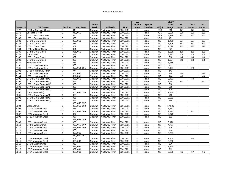|                                      |                          |                |                |              |                       |            | <b>VA</b>         |                 |                | <b>Study</b> |                 |                |                 |
|--------------------------------------|--------------------------|----------------|----------------|--------------|-----------------------|------------|-------------------|-----------------|----------------|--------------|-----------------|----------------|-----------------|
|                                      |                          |                |                | <b>River</b> |                       |            | <b>Classific-</b> | <b>Special</b>  |                | Area         | VA <sub>1</sub> | <b>VA2</b>     | VA <sub>3</sub> |
| Stream ID                            | <b>VA Stream</b>         | <b>Section</b> | Map Page       | <b>Basin</b> | <b>Subbasin</b>       | <b>HUC</b> | ation             | <b>Standard</b> | 303(d)         | Length       | <b>Impacts</b>  | <b>Impacts</b> | <b>Impacts</b>  |
| S177                                 | UT11 to Sappony Creek    | C              | 048            | Chowan       | Nottoway River        | 03010201   | Ш                 | None            | <b>YES</b>     | 563          | 177             | 177            | 177             |
| S178                                 | <b>Buckskin Creek</b>    | С              | 049, 050       | Chowan       | Nottoway River        | 03010201   | Ш                 | None            | <b>YES</b>     | 2,086        | 200             | 200            | 200             |
| S179                                 | UT1 to Buckskin Creek    | C              | 050            | Chowan       | Nottoway River        | 03010201   | Ш                 | None            | <b>YES</b>     | 2,339        | 163             | 163            | 163             |
| S180                                 | UT2 to Buckskin Creek    | С              | 050            | Chowan       | Nottoway River        | 03010201   | Ш                 | None            | <b>YES</b>     | 491          |                 |                |                 |
| S181                                 | UT1 to Great Creek       | С              | 050, 051       | Chowan       | Nottoway River        | 03010201   | Ш                 | None            | <b>NO</b>      | 1,480        | 227             | 227            | 227             |
| S182                                 | UT2 to Great Creek       | С              | 051            | Chowan       | Nottoway River        | 03010201   | Ш                 | None            | <b>NO</b>      | 1,805        | 843             | 843            | 843             |
| S183                                 | UT3 to Great Creek       | С              | 051            | Chowan       | Nottoway River        | 03010201   | Ш                 | None            | <b>NO</b>      | 1,026        | 212             | 212            | 212             |
| S184                                 | UT4a to Great Creek      | С              | 051            | Chowan       | <b>Nottoway River</b> | 03010201   | Ш                 | None            | <b>NO</b>      | 671          |                 |                |                 |
| S185                                 | UT4 to Great Creek       | C              | 051, 052       | Chowan       | Nottoway River        | 03010201   | Ш                 | None            | N <sub>O</sub> | 1,558        | 189             | 189            | 189             |
| S186                                 | <b>Great Creek</b>       | С              | 052            | Chowan       | Nottoway River        | 03010201   | Ш                 | None            | <b>NO</b>      | 2,971        | 43              | 43             | 43              |
| S187                                 | UT5 to Great Creek       | С              | 052            | Chowan       | <b>Nottoway River</b> | 03010201   | Ш                 | None            | <b>NO</b>      | 610          | 34              | 34             | 34              |
| S188                                 | UT6 to Great Creek       | С              | 052            | Chowan       | Nottoway River        | 03010201   | Ш                 | None            | <b>NO</b>      | 1,234        | 23              | 23             | 23              |
| S189                                 | Nottoway River           | Ć              | 053            | Chowan       | Nottoway River        | 03010201   | III               | None            | N <sub>O</sub> | 3,455        |                 |                |                 |
| S <sub>190</sub><br>S <sub>191</sub> | UT1 to Nottoway River    | С              | 053            | Chowan       | Nottoway River        | 03010201   | Ш                 | None            | <b>NO</b>      | 933          |                 |                |                 |
|                                      | UT2 to Nottoway River    | D              | 053, 054, 055  | Chowan       | Nottoway River        | 03010201   | Ш                 | None            | N <sub>O</sub> | 5,127        |                 | 750            |                 |
|                                      | UT2a to Nottoway River   | D              | 054            | Chowan       | <b>Nottoway River</b> | 03010201   | Ш                 | None            | N <sub>O</sub> | 141          |                 |                |                 |
| S192<br>S193                         | UT4 to Nottoway River    | D              | 054, 055       | Chowan       | Nottoway River        | 03010201   | Ш                 | None            | N <sub>O</sub> | 864          | 635             |                | 635             |
| S194                                 | UT3 to Nottoway River    | D              | 054, 055       | Chowan       | <b>Nottoway River</b> | 03010201   | Ш                 | None            | <b>NO</b>      | 144          | 40              |                | 40              |
| S195                                 | UT1 to Great Branch (#2) | D              | 055, 056       | Chowan       | Nottoway River        | 03010201   | Ш                 | None            | <b>NO</b>      | 3,483        |                 | 30             |                 |
| S196                                 | UT3 to Great Branch (#2) | D              | 055            | Chowan       | <b>Nottoway River</b> | 03010201   | III               | None            | <b>NO</b>      | 1,431        | 152             |                | 152             |
| S197                                 | UT6 to Great Branch (#2) | D              | 056            | Chowan       | Nottoway River        | 03010201   | III               | None            | <b>NO</b>      | 318          |                 |                |                 |
| S198                                 | UT7 to Great Branch (#2) | D              | 056            | Chowan       | <b>Nottoway River</b> | 03010201   | III               | None            | <b>NO</b>      | 919          |                 |                |                 |
| S199                                 | UT9 to Great Branch (#2) | D              | 056            | Chowan       | Nottoway River        | 03010201   | III               | None            | <b>NO</b>      | 600          |                 |                |                 |
| S200                                 | Great Branch (#2)        | D              | 056, 057, 058  | Chowan       | Nottoway River        | 03010201   | III               | None            | N <sub>O</sub> | 7,240        |                 |                |                 |
| S201                                 | UT8 to Great Branch (#2) | D              | 056            | Chowan       | Nottoway River        | 03010201   | III               | None            | <b>NO</b>      | 763          |                 |                |                 |
| S202                                 | UT5 to Great Branch (#2) | D              | 056            | Chowan       | Nottoway River        | 03010201   | III               | None            | <b>NO</b>      | 2,051        |                 |                |                 |
| S203                                 | UT4 to Great Branch (#2) | D              | 055            | Chowan       | Nottoway River        | 03010201   | III               | None            | <b>NO</b>      | 294          |                 |                |                 |
|                                      |                          |                | 055, 056, 057, |              |                       |            |                   |                 |                |              |                 |                |                 |
| S204                                 | Waqua Creek              | D              | 058, 059, 060  | Chowan       | <b>Nottoway River</b> | 03010201   | Ш                 | None            | <b>NO</b>      | 17,529       |                 |                |                 |
| S205                                 | UT1 to Waqua Creek       | D              | 058            | Chowan       | Nottoway River        | 03010201   | III               | None            | <b>NO</b>      | 1,361        |                 |                |                 |
| S206                                 | UT6 to Waqua Creek       | D              | 058, 059, 060  | Chowan       | Nottoway River        | 03010201   | Ш                 | None            | N <sub>O</sub> | 1,995        |                 | 443            |                 |
| S207                                 | UT27 to Waqua Creek      | D              | 057            | Chowan       | Nottoway River        | 03010201   | Ш                 | None            | N <sub>O</sub> | 2,978        |                 |                |                 |
| S208                                 | UT28 to Waqua Creek      | D              | 057            | Chowan       | Nottoway River        | 03010201   | Ш                 | None            | <b>NO</b>      | 661          |                 |                |                 |
|                                      |                          |                | 057, 058, 059, |              |                       |            |                   |                 |                |              |                 |                |                 |
| S209                                 | UT2 to Waqua Creek       | D              | 060            | Chowan       | Nottoway River        | 03010201   | Ш                 | None            | <b>NO</b>      | 3,126        |                 |                |                 |
| S210                                 | UT4 to Waqua Creek       | D              | 058, 059, 060  | Chowan       | Nottoway River        | 03010201   | III               | None            | <b>NO</b>      | 4,707        |                 |                |                 |
| S211                                 | UT5 to Waqua Creek       | D              | 058, 059, 060  | Chowan       | Nottoway River        | 03010201   | Ш                 | None            | <b>NO</b>      | 395          |                 |                |                 |
| S212                                 | UT3 to Waqua Creek       | D              | 060            | Chowan       | Nottoway River        | 03010201   | Ш                 | None            | N <sub>O</sub> | 340          |                 |                |                 |
| S213                                 | UT7 to Waqua Creek       | D              | 059,060        | Chowan       | Nottoway River        | 03010201   | III               | None            | <b>NO</b>      | 3,297        |                 |                |                 |
|                                      |                          |                | 059, 060, 061, |              |                       |            |                   |                 |                |              |                 |                |                 |
| S214                                 | UT12 to Waqua Creek      | D              | 062            | Chowan       | Nottoway River        | 03010201   | Ш                 | None            | <b>NO</b>      | 7,900        |                 | 714            |                 |
| S215                                 | UT10 to Waqua Creek      | D              | 059,060        | Chowan       | Nottoway River        | 03010201   | III               | None            | <b>NO</b>      | 3,566        |                 |                |                 |
| S216                                 | UT8 to Waqua Creek       | D              | 060            | Chowan       | <b>Nottoway River</b> | 03010201   | Ш                 | None            | $\overline{N}$ | 506          |                 |                |                 |
| S217                                 | UT11 to Waqua Creek      | D              | 059, 061       | Chowan       | <b>Nottoway River</b> | 03010201   | III               | None            | N <sub>O</sub> | 1,820        |                 |                |                 |
| S218                                 | UT13 to Waqua Creek      | D              | 059, 061       | Chowan       | <b>Nottoway River</b> | 03010201   | Ш                 | None            | N <sub>O</sub> | 912          |                 |                |                 |
| S219                                 | UT14 to Waqua Creek      | D              | 060, 061       | Chowan       | Nottoway River        | 03010201   | Ш                 | None            | <b>NO</b>      | 2,808        | 66              | 67             | 66              |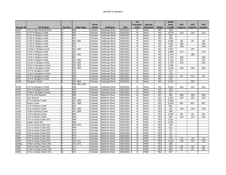|                  |                          |                |                 |              |                       |            | <b>VA</b>                 |                 |                | <b>Study</b>     |                |                |                 |
|------------------|--------------------------|----------------|-----------------|--------------|-----------------------|------------|---------------------------|-----------------|----------------|------------------|----------------|----------------|-----------------|
|                  |                          |                |                 | <b>River</b> |                       |            | <b>Classific-</b>         | <b>Special</b>  |                | Area             | <b>VA1</b>     | <b>VA2</b>     | VA <sub>3</sub> |
| <b>Stream ID</b> | <b>VA Stream</b>         | <b>Section</b> | <b>Map Page</b> | <b>Basin</b> | <b>Subbasin</b>       | <b>HUC</b> | ation                     | <b>Standard</b> | 303(d)         | Length           | <b>Impacts</b> | <b>Impacts</b> | <b>Impacts</b>  |
| S220             | UT1 to Jack Rock Branch  | D              | 060             | Chowan       | <b>Nottoway River</b> | 03010201   | Ш                         | None            | <b>NO</b>      | 165              |                |                |                 |
| S221             | UT17 to Waqua Creek      | D              | 061             | Chowan       | Nottoway River        | 03010201   | III                       | None            | <b>NO</b>      | 3,279            | 114            | 124            | 114             |
| S222             | UT15 to Waqua Creek      | D              | 061             | Chowan       | <b>Nottoway River</b> | 03010201   | III                       | None            | <b>NO</b>      | 335              |                |                |                 |
| S223             | UT16 to Waqua Creek      | D              | 061             | Chowan       | <b>Nottoway River</b> | 03010201   | Ш                         | None            | N <sub>O</sub> | 530              |                |                |                 |
| S224             | UT19 to Waqua Creek      | D              | 061, 062        | Chowan       | Nottoway River        | 03010201   | $\overline{\mathsf{III}}$ | None            | $\overline{N}$ | 2,484            | 90             | 62             | 90              |
| S <sub>225</sub> | UT18 to Waqua Creek      | D              | 061             | Chowan       | Nottoway River        | 03010201   | III                       | None            | <b>NO</b>      | 1,851            | 100            |                | 100             |
| S226             | UT20 to Waqua Creek      | D              | 061             | Chowan       | Nottoway River        | 03010201   | III                       | None            | <b>NO</b>      | 830              | 108            |                | 108             |
| S227             | UT12b to Waqua Creek     | D              | 061, 062        | Chowan       | Nottoway River        | 03010201   | Ш                         | None            | N <sub>O</sub> | 2,597            |                | 197            |                 |
| S228             | UT21 to Waqua Creek      | D              | 061             | Chowan       | Nottoway River        | 03010201   | III                       | None            | <b>NO</b>      | 1.969            | 172            |                | 172             |
| S229             | UT24 to Waqua Creek      | D              | 061, 062        | Chowan       | Nottoway River        | 03010201   | Ш                         | None            | <b>NO</b>      | 1,144            |                | 188            |                 |
| S230             | UT22 to Waqua Creek      | D              | 061             | Chowan       | <b>Nottoway River</b> | 03010201   | Ш                         | None            | <b>NO</b>      | 1,372            | 186            |                | 186             |
| S231             | UT23 to Waqua Creek      | D              | 061, 062        | Chowan       | <b>Nottoway River</b> | 03010201   | Ш                         | None            | <b>NO</b>      | 1,110            | 167            |                | 167             |
| S232             | UT12c to Waqua Creek     | D              | 061, 062        | Chowan       | Nottoway River        | 03010201   | Ш                         | None            | N <sub>O</sub> | 1,765            | 219            |                | 219             |
| S233             | UT2a to Sturgeon Creek   | D              | 062, 063        | Chowan       | Nottoway River        | 03010201   | Ш                         | None            | <b>NO</b>      | 1,289            |                |                |                 |
| S233             | UT2a to Sturgeon Creek   | Ē              | 062, 063        | Chowan       | Nottoway River        | 03010201   | III                       | None            | N <sub>O</sub> | 1,529            | 238            | 238            | 238             |
| S234             | UT1 to Sturgeon Creek    | D              | 062             | Chowan       | Nottoway River        | 03010201   | Ш                         | None            | N <sub>O</sub> | 313              |                |                |                 |
| S235             | UT1a to Sturgeon Creek   | D              | 062             | Chowan       | Nottoway River        | 03010201   | Ш                         | None            | N <sub>O</sub> | 159              |                |                |                 |
| S236             | UT2 to Sturgeon Creek    | F              | 063             | Chowan       | Nottoway River        | 03010201   | III                       | None            | <b>NO</b>      | 1,412            | 62             | 113            | 62              |
| S237             | UT3 to Sturgeon Creek    | E              | 063             | Chowan       | Nottoway River        | 03010201   | III                       | None            | <b>NO</b>      | 120              |                |                |                 |
| S238             | <b>Sturgeon Creek</b>    | F              | 063.064         | Chowan       | <b>Nottoway River</b> | 03010201   | III                       | None            | <b>NO</b>      | 2,022            |                | 218            |                 |
|                  |                          |                | 063, 064, 065,  |              |                       |            |                           |                 |                |                  |                |                |                 |
| S239<br>S240     | UT4 to Sturgeon Creek    | E              | 066             | Chowan       | <b>Nottoway River</b> | 03010201   | Ш                         | None            | <b>NO</b>      | 9.022            | 324            | 324            | 324             |
|                  | UT5 to Sturgeon Creek    | E              | 064             | Chowan       | <b>Nottoway River</b> | 03010201   | III                       | None            | <b>NO</b>      | 708              |                |                |                 |
| S241             | UT4a to Sturgeon Creek   | E              | 065             | Chowan       | <b>Nottoway River</b> | 03010201   | Ш                         | None            | <b>NO</b>      | $\overline{217}$ |                |                |                 |
| S242             | UT1 to Gum Branch        | Ē              | 066             | Chowan       | <b>Meherrin River</b> | 03010204   | $\overline{\mathsf{III}}$ | None            | $\overline{N}$ | 409              | 299            | 299            | 299             |
| S243             | <b>Gum Branch</b>        | E              | 066             | Chowan       | <b>Meherrin River</b> | 03010204   | $\overline{\mathsf{III}}$ | None            | N <sub>O</sub> | 1,087            | 102            | 102            | 102             |
| S244             | UT4 to Roses Creek       |                | 067, 068        | Chowan       | <b>Meherrin River</b> | 03010204   | Ш                         | None            | <b>YES</b>     | 2,056            |                |                |                 |
| S245             | <b>Roses Creek</b>       |                | 067,068         | Chowan       | <b>Meherrin River</b> | 03010204   | Ш                         | None            | <b>YES</b>     | 2,639            | 661            | 661            | 661             |
| S246             | UT1 to Roses Creek       |                | 067             | Chowan       | <b>Meherrin River</b> | 03010204   | Ш                         | None            | <b>YES</b>     | 661              |                |                |                 |
| S247             | UT2 to Roses Creek       |                | 067,068         | Chowan       | <b>Meherrin River</b> | 03010204   | III                       | None            | <b>YES</b>     | 145              | 145            | 145            | 145             |
| S248             | UT4a to Roses Creek      |                | 067,068         | Chowan       | <b>Meherrin River</b> | 03010204   | Ш                         | None            | <b>YES</b>     | 290              |                |                |                 |
| S249             | UT3 to Roses Creek       |                | 068             | Chowan       | <b>Meherrin River</b> | 03010204   | III                       | None            | <b>YES</b>     | 2,405            | 65             | 65             | 65              |
| S250             | UT5 to Roses Creek       |                | 068             | Chowan       | <b>Meherrin River</b> | 03010204   | Ш                         | None            | <b>YES</b>     | 854              | 114            | 114            | 114             |
| S <sub>251</sub> | UT1 to Great Creek (#2)  |                | 069             | Chowan       | <b>Meherrin River</b> | 03010204   | III                       | <b>PWS</b>      | <b>YES</b>     | 1,537            |                |                |                 |
| S252             | Great Creek (#2)         |                | 069             | Chowan       | <b>Meherrin River</b> | 03010204   | Ш                         | <b>PWS</b>      | <b>YES</b>     | 2,282            |                |                |                 |
| S253             | UT3 to Great Creek (#2)  |                | 069, 070        | Chowan       | <b>Meherrin River</b> | 03010204   | Ш                         | <b>PWS</b>      | <b>YES</b>     | 748              |                |                |                 |
| S254             | UT2 to Great Creek (#2)  |                | 069             | Chowan       | <b>Meherrin River</b> | 03010204   | Ш                         | <b>PWS</b>      | <b>YES</b>     | 813              |                |                |                 |
| S255             | UT6 to Great Creek (#2)  |                | 070             | Chowan       | <b>Meherrin River</b> | 03010204   | III                       | <b>PWS</b>      | <b>YES</b>     | 49               |                |                |                 |
| S256             | UT5 to Great Creek (#2)  |                | 070             | Chowan       | <b>Meherrin River</b> | 03010204   | III                       | <b>PWS</b>      | <b>YES</b>     | 70               |                |                |                 |
| S257             | UT4 to Great Creek (#2)  |                | 070             | Chowan       | <b>Meherrin River</b> | 03010204   | III                       | <b>PWS</b>      | <b>YES</b>     | 19               |                |                |                 |
| S258             | UT7 to Great Creek (#2)  |                | 070             | Chowan       | <b>Meherrin River</b> | 03010204   | III                       | <b>PWS</b>      | <b>YES</b>     | 578              | 16             | 16             | 16              |
| S259             | UT8 to Great Creek (#2)  |                | 070, 071        | Chowan       | <b>Meherrin River</b> | 03010204   | III                       | <b>PWS</b>      | <b>YES</b>     | 1.542            | 115            | 115            | 115             |
| S259a            | UT8a to Great Creek (#2) |                | 070, 071        | Chowan       | <b>Meherrin River</b> | 03010204   | III                       | <b>PWS</b>      | <b>YES</b>     | 266              |                |                |                 |
| S260             | UT9 to Great Creek (#2)  |                | 071             | Chowan       | <b>Meherrin River</b> | 03010204   | III                       | <b>PWS</b>      | <b>YES</b>     | 328              | 69             | 69             | 69              |
| S261             | UT10 to Great Creek (#2) | G              | 071             | Chowan       | <b>Meherrin River</b> | 03010204   | III                       | <b>PWS</b>      | <b>YES</b>     | 285              | 41             | 41             | 38              |
| S262             | UT11 to Great Creek (#2) | G              | 071             | Chowan       | <b>Meherrin River</b> | 03010204   | Ш                         | <b>PWS</b>      | <b>YES</b>     | 597              |                |                |                 |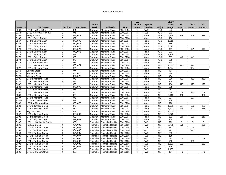|                          |                            |                |          |              |                       |            | <b>VA</b>                 |                 |                | <b>Study</b>    |                |                |                 |
|--------------------------|----------------------------|----------------|----------|--------------|-----------------------|------------|---------------------------|-----------------|----------------|-----------------|----------------|----------------|-----------------|
|                          |                            |                |          | <b>River</b> |                       |            | <b>Classific-</b>         | <b>Special</b>  |                | Area            | <b>VA1</b>     | <b>VA2</b>     | VA <sub>3</sub> |
| Stream ID                | <b>VA Stream</b>           | <b>Section</b> | Map Page | <b>Basin</b> | <b>Subbasin</b>       | <b>HUC</b> | ation                     | <b>Standard</b> | 303(d)         | Length          | <b>Impacts</b> | <b>Impacts</b> | <b>Impacts</b>  |
| S263                     | UT11a to Great Creek (#2)  | G              | 071      | Chowan       | <b>Meherrin River</b> | 03010204   | Ш                         | <b>PWS</b>      | <b>YES</b>     | 45              | 10             |                |                 |
| $\overline{\text{S}264}$ | UT12 to Great Creek (#2)   | G              | 071      | Chowan       | <b>Meherrin River</b> | 03010204   | Ш                         | <b>PWS</b>      | <b>YES</b>     | 271             |                |                |                 |
| S <sub>265</sub>         | <b>Briery Branch</b>       | G              | 072, 073 | Chowan       | <b>Meherrin River</b> | 03010204   | III                       | None            | <b>YES</b>     | 6,856           | 369            | 408            | 318             |
| S266                     | UT1 to Briery Branch       | G              | 072      | Chowan       | <b>Meherrin River</b> | 03010204   | Ш                         | None            | <b>YES</b>     | 180             |                |                |                 |
| S267                     | UT4 to Briery Branch       | G              | 072, 073 | Chowan       | <b>Meherrin River</b> | 03010204   | III                       | None            | <b>YES</b>     | 1,018           |                |                |                 |
| S268                     | UT2 to Briery Branch       | G              | 072, 073 | Chowan       | <b>Meherrin River</b> | 03010204   | III                       | None            | <b>YES</b>     | 165             |                |                |                 |
| S269                     | UT5 to Briery Branch       | G              | 072, 073 | Chowan       | <b>Meherrin River</b> | 03010204   | III                       | None            | <b>YES</b>     | 3,025           |                |                |                 |
| S270                     | UT3 to Briery Branch       | G              | 072, 073 | Chowan       | <b>Meherrin River</b> | 03010204   | III                       | None            | <b>YES</b>     | 431             |                | 57             | 145             |
| S271                     | UT6 to Briery Branch       | G              | 072, 073 | Chowan       | <b>Meherrin River</b> | 03010204   | III                       | None            | <b>YES</b>     | 902             |                |                |                 |
| S272                     | UT7 to Briery Branch       | G              | 073      | Chowan       | <b>Meherrin River</b> | 03010204   | Ш                         | None            | <b>YES</b>     | 1,306           |                |                |                 |
| S273                     | UT9 to Briery Branch       | G              | 073      | Chowan       | <b>Meherrin River</b> | 03010204   | $\overline{\mathsf{III}}$ | None            | <b>YES</b>     | 687             | 43             | 82             |                 |
| S274                     | UT8 to Briery Branch       | G              | 073      | Chowan       | <b>Meherrin River</b> | 03010204   | Ш                         | None            | <b>YES</b>     | 359             |                |                |                 |
| S275                     | UT10 to Briery Branch      | G              | 073      | Chowan       | <b>Meherrin River</b> | 03010204   | Ш                         | None            | <b>YES</b>     | 634             |                |                |                 |
| S276                     | UT1 to Meherrin River      | G              | 073, 074 | Chowan       | <b>Meherrin River</b> | 03010204   | Ш                         | None            | <b>NO</b>      | 1,645           | 191            | 174            |                 |
| S277                     | UT2 to Meherrin River      | G              | 074      | Chowan       | <b>Meherrin River</b> | 03010204   | III                       | None            | <b>NO</b>      | 1,744           |                | 154            |                 |
| S278                     | <b>Shining Creek</b>       | G              | 075      | Chowan       | <b>Meherrin River</b> | 03010204   | III                       | None            | <b>NO</b>      | 737             |                |                |                 |
| S279                     | <b>Meherrin River</b>      | G              | 074, 075 | Chowan       | <b>Meherrin River</b> | 03010204   | III                       | None            | <b>NO</b>      | 554             |                |                |                 |
| S279                     | <b>Meherrin River</b>      | н              | 074, 075 | Chowan       | <b>Meherrin River</b> | 03010204   | III                       | None            | <b>NO</b>      | 454             |                |                |                 |
| S280                     | UT3 to Meherrin River      | H              | 075      | Chowan       | <b>Meherrin River</b> | 03010204   | III                       | None            | <b>NO</b>      | 950             | 452            | 452            | 452             |
| S281                     | UT4 to Meherrin River      | H              | 075      | Chowan       | <b>Meherrin River</b> | 03010204   | Ш                         | None            | <b>NO</b>      | 100             |                |                |                 |
| S282                     | UT5 to Meherrin River      | H              | 075      | Chowan       | <b>Meherrin River</b> | 03010204   | III                       | None            | <b>NO</b>      | 134             | 127            | 127            | 127             |
| S283                     | UT6 to Meherrin River      | н              | 075, 076 | Chowan       | <b>Meherrin River</b> | 03010204   | III                       | None            | <b>NO</b>      | 285             |                |                |                 |
| S284                     | UT10 to Meherrin River     | н              | 076      | Chowan       | <b>Meherrin River</b> | 03010204   | III                       | None            | <b>NO</b>      | 281             |                |                |                 |
| S285                     | UT7 to Meherrin River      | H              | 076      | Chowan       | <b>Meherrin River</b> | 03010204   | III                       | None            | <b>NO</b>      | 684             | 73             | 132            | 73              |
| S286                     | UT9 to Meherrin River      | Η              | 076      | Chowan       | <b>Meherrin River</b> | 03010204   | III                       | None            | <b>NO</b>      | 2,113           | 432            |                | 432             |
| S287                     | UT8 to Meherrin River      | H              | 076      | Chowan       | <b>Meherrin River</b> | 03010204   | $\overline{\mathsf{III}}$ | None            | $\overline{N}$ | 894             |                | 387            |                 |
| S287a                    | UT1a to Taylors Creek      | H              | 077      | Chowan       | <b>Meherrin River</b> | 03010204   | III                       | None            | <b>NO</b>      | 278             |                |                |                 |
| S288                     | UT11 to Meherrin River     | H              | 078, 079 | Chowan       | <b>Meherrin River</b> | 03010204   | III                       | None            | <b>NO</b>      | 770             |                |                |                 |
| S289                     | UT1 to Taylor's Creek      | н              | 079      | Chowan       | <b>Meherrin River</b> | 03010204   | III                       | None            | <b>NO</b>      | 1,091           | 297            | 293            | 297             |
| S290                     | UT2 to Taylor's Creek      | H              | 079      | Chowan       | <b>Meherrin River</b> | 03010204   | III                       | None            | $\overline{N}$ | 1,201           | 414            | 421            | 414             |
| S291                     | <b>Taylor's Creek</b>      | H              | 079      | Chowan       | <b>Meherrin River</b> | 03010204   | Ш                         | None            | <b>NO</b>      | 1,062           |                |                |                 |
| S292                     | UT3 to Taylor's Creek      | H              | 079,080  | Chowan       | <b>Meherrin River</b> | 03010204   | III                       | None            | <b>NO</b>      | 2,075           |                |                |                 |
| S293                     | UT4 to Taylor's Creek      | Н              | 080      | Chowan       | <b>Meherrin River</b> | 03010204   | Ш                         | None            | <b>NO</b>      | 631             | 210            | 209            | 210             |
| S294                     | UT5 to Taylor's Creek      |                | 081, 082 | Chowan       | <b>Meherrin River</b> | 03010204   | III                       | None            | <b>NO</b>      | 178             |                |                |                 |
| S295                     | UT1 to Little Genito Creek |                | 083      | Roanoke      | Roanoke Rapids        | 03010106   | Ш                         | <b>PWS</b>      | <b>NO</b>      | 273             | 6              | 6              | 6               |
| S296                     | Parham Creek               |                | 084, 085 | Roanoke      | Roanoke Rapids        | 03010106   | III                       | <b>PWS</b>      | $\overline{N}$ | 5,756           | 379            |                | 379             |
| S297                     | UT1 to Parham Creek        |                | 084, 085 | Roanoke      | Roanoke Rapids        | 03010106   | Ш                         | <b>PWS</b>      | <b>NO</b>      | 683             |                | 16             |                 |
| S298                     | UT2 to Parham Creek        |                | 084, 085 | Roanoke      | Roanoke Rapids        | 03010106   | Ш                         | <b>PWS</b>      | N <sub>O</sub> | 997             |                | 277            |                 |
| S299                     | UT3 to Parham Creek        |                | 084, 085 | Roanoke      | Roanoke Rapids        | 03010106   | Ш                         | <b>PWS</b>      | <b>NO</b>      | 259             |                |                |                 |
| S300                     | UT5 to Parham Creek        |                | 084, 085 | Roanoke      | Roanoke Rapids        | 03010106   | III                       | <b>PWS</b>      | <b>NO</b>      | 118             |                |                |                 |
| S301                     | UT8a to Parham Creek       |                | 084, 085 | Roanoke      | Roanoke Rapids        | 03010106   | III                       | <b>PWS</b>      | <b>NO</b>      | $\overline{37}$ | 16             |                | 16              |
| S302                     | UT4 to Parham Creek        |                | 084, 085 | Roanoke      | Roanoke Rapids        | 03010106   | III                       | <b>PWS</b>      | <b>NO</b>      | 793             |                | 133            |                 |
| S303                     | UT8 to Parham Creek        |                | 084, 085 | Roanoke      | Roanoke Rapids        | 03010106   | Ш                         | <b>PWS</b>      | <b>NO</b>      | 1.623           | 892            |                | 892             |
| S304                     | UT6 to Parham Creek        |                | 084, 085 | Roanoke      | Roanoke Rapids        | 03010106   | Ш                         | <b>PWS</b>      | <b>NO</b>      | 116             |                |                |                 |
| S305                     | UT7 to Parham Creek        |                | 085      | Roanoke      | Roanoke Rapids        | 03010106   | Ш                         | <b>PWS</b>      | <b>NO</b>      | 1,135           |                |                |                 |
| S306                     | UT10 to Parham Creek       |                | 085      | Roanoke      | Roanoke Rapids        | 03010106   | Ш                         | <b>PWS</b>      | <b>NO</b>      | $\frac{137}{2}$ | 46             |                | 46              |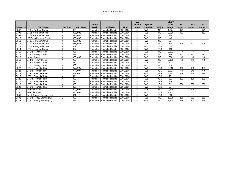|              |                            |                |                 |              |                 |            | <b>VA</b>         |                 |                 | <b>Study</b> |                |            |                 |
|--------------|----------------------------|----------------|-----------------|--------------|-----------------|------------|-------------------|-----------------|-----------------|--------------|----------------|------------|-----------------|
|              |                            |                |                 | <b>River</b> |                 |            | <b>Classific-</b> | <b>Special</b>  |                 | Area         | <b>VA1</b>     | <b>VA2</b> | VA <sub>3</sub> |
| Stream ID    | <b>VA Stream</b>           | <b>Section</b> | <b>Map Page</b> | <b>Basin</b> | <b>Subbasin</b> | <b>HUC</b> | ation             | <b>Standard</b> | 303(d)          | Length       | <b>Impacts</b> | Impacts    | <b>Impacts</b>  |
| S307         | UT9 to Parham Creek        |                | 085             | Roanoke      | Roanoke Rapids  | 03010106   | Ш                 | <b>PWS</b>      | <b>NO</b>       | 1.574        | 171            |            | 171             |
| S308         | UT11 to Parham Creek       |                | 085, 086        | Roanoke      | Roanoke Rapids  | 03010106   | Ш                 | <b>PWS</b>      | <b>NO</b>       | 2,396        | 451            |            | 451             |
| S309         | UT12 to Parham Creek       |                | 085, 086        | Roanoke      | Roanoke Rapids  | 03010106   | III               | <b>PWS</b>      | <b>NO</b>       | 248          |                |            |                 |
| S310         | UT13a to Parham Creek      |                | 085, 086        | Roanoke      | Roanoke Rapids  | 03010106   | Ш                 | <b>PWS</b>      | <b>NO</b>       | 40           |                |            |                 |
| S311         | UT13 to Parham Creek       |                | 085, 086        | Roanoke      | Roanoke Rapids  | 03010106   | III               | <b>PWS</b>      | $\overline{NO}$ | 907          |                |            |                 |
| S312         | UT14 to Parham Creek       |                | 085, 086        | Roanoke      | Roanoke Rapids  | 03010106   | Ш                 | <b>PWS</b>      | <b>NO</b>       | 538          | 106            | 272        | 106             |
| S313         | UT1a to Hagood Creek       |                | 087             | Roanoke      | Roanoke Rapids  | 03010106   | III               | <b>PWS</b>      | <b>YES</b>      | 75           |                |            |                 |
| S314         | UT1 to Hagood Creek        |                | 087             | Roanoke      | Roanoke Rapids  | 03010106   | Ш                 | <b>PWS</b>      | <b>YES</b>      | 463          |                |            |                 |
| S315<br>S316 | UT1 to Hewey Creek         |                | 088             | Roanoke      | Roanoke Rapids  | 03010106   | Ш                 | <b>PWS</b>      | <b>NO</b>       | 3,582        | 47             | 47         | 47              |
|              | UT2 to Hewey Creek         |                | 088             | Roanoke      | Roanoke Rapids  | 03010106   | Ш                 | <b>PWS</b>      | <b>NO</b>       | 156          | 111            | 111        | 111             |
| S318         | <b>Hewey Creek</b>         |                | 088, 089        | Roanoke      | Roanoke Rapids  | 03010106   | III               | <b>PWS</b>      | <b>NO</b>       | 380          | 98             | 98         | 98              |
| S319         | UT4 to Hewey Creek         |                | 089             | Roanoke      | Roanoke Rapids  | 03010106   | Ш                 | <b>PWS</b>      | <b>NO</b>       | 2,106        | 62             | 84         | 62              |
| S320         | UT6 to Hewey Creek         |                | 089             | Roanoke      | Roanoke Rapids  | 03010106   | Ш                 | <b>PWS</b>      | <b>NO</b>       | 873          |                |            |                 |
| S321         | UT5 to Hewey Creek         |                | 089             | Roanoke      | Roanoke Rapids  | 03010106   | Ш                 | <b>PWS</b>      | <b>NO</b>       | 304          |                |            |                 |
| S322         | UT1 to Roanoke River       |                | 089, 090        | Roanoke      | Roanoke Rapids  | 03010106   | III               | <b>PWS</b>      | <b>YES</b>      | 3,812        | 495            | 186        | 495             |
| S323         | UT2 to Roanoke River       |                | 090, 091        | Roanoke      | Roanoke Rapids  | 03010106   | Ш                 | <b>PWS</b>      | <b>YES</b>      | 6,927        | 60             | 546        | 60              |
| S324         | UT4 to Roanoke River       |                | 089, 090        | Roanoke      | Roanoke Rapids  | 03010106   | Ш                 | <b>PWS</b>      | <b>YES</b>      | 2,472        | 716            | 964        | 716             |
| S325         | UT3 to Roanoke River       |                | 090             | Roanoke      | Roanoke Rapids  | 03010106   | III               | <b>PWS</b>      | <b>YES</b>      | 751          |                |            |                 |
| S326         | UT5 to Roanoke River       |                | 090             | Roanoke      | Roanoke Rapids  | 03010106   | Ш                 | <b>PWS</b>      | <b>YES</b>      | 511          | 102            | 126        | 102             |
| S327         | UT6 to Roanoke River       |                | 090             | Roanoke      | Roanoke Rapids  | 03010106   | Ш                 | <b>PWS</b>      | <b>YES</b>      | 276          |                |            |                 |
| S328         | UT7 to Roanoke River       |                | 090             | Roanoke      | Roanoke Rapids  | 03010106   | Ш                 | <b>PWS</b>      | <b>YES</b>      | 519          | 236            | 230        | 236             |
| S329<br>S330 | UT8 to Roanoke River       |                | 090             | Roanoke      | Roanoke Rapids  | 03010106   | III               | <b>PWS</b>      | <b>YES</b>      | 677          |                |            |                 |
|              | Roanoke River              |                | 090, 091        | Roanoke      | Roanoke Rapids  | 03010106   | Ш                 | <b>PWS</b>      | <b>YES</b>      | 2,178        |                | 56         |                 |
| S330         | Roanoke River              |                | 090, 091        | Roanoke      | Roanoke Rapids  | 03010106   | Ш                 | <b>PWS</b>      | <b>YES</b>      | 1,401        |                |            |                 |
| S331         | Smith Creek - Cove of Lake |                | 091             | Roanoke      | Roanoke Rapids  | 03010106   | Ш                 | <b>PWS</b>      | <b>YES</b>      | 368          |                |            |                 |
| S332         | UT1 to Reedy Branch (#2)   |                | 092             | Roanoke      | Roanoke Rapids  | 03010106   | Ш                 | <b>PWS</b>      | <b>NO</b>       | 1,575        | 169            | 301        | 169             |
| S333         | UT2 to Reedy Branch (#2)   |                | 092             | Roanoke      | Roanoke Rapids  | 03010106   | Ш                 | <b>PWS</b>      | <b>NO</b>       | 1,140        | 259            | 200        | 259             |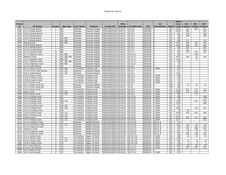|               |                                                    |                      |                      |                            |                                              |                                  |                      |                        |                      |                         |                        | <b>Study</b>   |                 |                 |                 |
|---------------|----------------------------------------------------|----------------------|----------------------|----------------------------|----------------------------------------------|----------------------------------|----------------------|------------------------|----------------------|-------------------------|------------------------|----------------|-----------------|-----------------|-----------------|
| <b>Stream</b> |                                                    |                      |                      |                            |                                              |                                  | <b>DWQ</b>           |                        |                      | <b>NC</b>               |                        | Area           | NC <sub>1</sub> | NC <sub>2</sub> | NC <sub>3</sub> |
| ID            | <b>NC Stream</b>                                   | <b>Section</b>       | <b>Map Page</b>      | <b>River Basin</b>         | <b>Subbasin</b>                              | 14 Digit HUC                     | <b>Subbasin</b>      | <b>NC DWQ Index</b>    | <b>HUC</b>           | Classification   303(d) |                        | Length         | <b>Impacts</b>  | <b>Impacts</b>  | Impacts         |
| S334          | UT3 to Reedy Branch                                |                      | 093                  | Roanoke                    | Roanoke Rapids                               | 03010106031010                   | 03-02-07             | 23-10-4                | 03010106             |                         | <b>NO</b>              | 3,272          | 211             | 625             | 211             |
| S335          | UT4 to Reedy Branch                                |                      | 093                  | Roanoke                    | Roanoke Rapids                               | 03010106031010                   | 03-02-07             | $23 - 10 - 4$          | 03010106             | C                       | <b>NO</b>              | 2,949          | 282             |                 | 282             |
| S336          | UT4a to Reedy Branch                               |                      | 093                  | Roanoke                    | Roanoke Rapids                               | 03010106031010 03-02-07          |                      | $23 - 10 - 4$          | 03010106             | C                       | <b>NO</b>              | 691            | 348             |                 | 348             |
| S337          | UT5 to Reedy Branch                                |                      | 093                  | Roanoke                    | Roanoke Rapids                               | 03010106031010                   | 03-02-07             | $23 - 10 - 4$          | 03010106             | ГC                      | <b>NO</b>              | 785            | 299             |                 | 299             |
| S338          | UT6 to Reedy Branch                                |                      | 093, 094             | Roanoke                    | Roanoke Rapids                               | 03010106031010                   | 03-02-07             | 23-10-4                | 03010106             | ГC                      | <b>NO</b>              | 765            |                 |                 |                 |
| S339          | UT7 to Reedy Branch                                |                      | 093.094              | Roanoke                    | Roanoke Rapids                               | 03010106031010 03-02-07          |                      | $23 - 10 - 4$          | 03010106             | l C                     | <b>NO</b>              | 656            | 271             |                 | 271             |
| S340          | Reedy Branch                                       | $\mathbf{I}$         | 094.095              | Roanoke                    | Roanoke Rapids                               | 03010106031010                   | 03-02-07             | $23 - 10 - 4$          | 03010106             | IC.                     | <b>NO</b>              | 4,781          | 194             | 182             | 194             |
| S341          | UT8 to Reedy Branch                                |                      | 094                  | Roanoke                    | Roanoke Rapids                               | 03010106031010                   | 03-02-07             | 23-10-4                | 03010106             | ГC                      | <b>NO</b>              | 1,586          | 280             | 115             | 280             |
| S342          | UT9 to Reedy Branch                                |                      | 094                  | Roanoke                    | Roanoke Rapids                               | 03010106031010                   | 03-02-07             | $23 - 10 - 4$          | 03010106             | <b>C</b>                | <b>NO</b>              | 929            | 303             |                 | 303             |
| S343          | UT10 to Reedy Branch                               | $\mathbf{I}$         | 094                  | Roanoke                    | Roanoke Rapids                               | 03010106031010                   | 03-02-07             | 23-10-4                | 03010106             |                         | <b>NO</b>              | 193            | 193             |                 | 193             |
| S344          | UT1 to Sawmill Creek                               | M                    | 096                  | Roanoke                    | Roanoke Rapids                               | 03010106041010                   | 03-02-07             | 23-11-2                | 03010106             |                         | <b>NO</b>              | 604            | 107             | 107             | 107             |
| S345          | UT1 to Malones Creek                               | M                    | 097, 098             | Roanoke                    | Roanoke Rapids                               | 03010106031010                   | 03-02-07             | 23-10-3-1              | 03010106             | C                       | <b>NO</b>              | 468            |                 | 236             |                 |
| S346          | <b>Malones Creek</b>                               | M                    | 097, 098, 099        | Roanoke                    | Roanoke Rapids                               | 03010106031010                   | 03-02-07             | 23-10-3-1              | 03010106             |                         | <b>NO</b>              | 2,073          | 335             | 97              | 335             |
| S347          | UT3 to Malones Creek                               | M                    | 098.099              | Roanoke                    | Roanoke Rapids                               | 03010106031010                   | 03-02-07             | 23-10-3-1              | 03010106             |                         | <b>NO</b>              | 1.440          |                 | 71              |                 |
| S348          | UT2 to Malones Creek                               | M                    | 097, 098, 099        | Roanoke                    | Roanoke Rapids                               | 03010106031010                   | 03-02-07             | 23-10-3-1              | 03010106             | IC.                     | <b>NO</b>              | 926            |                 |                 |                 |
| S349          | UT2a to Malones Creek                              | M                    | 098, 099             | Roanoke                    | Roanoke Rapids                               | 03010106031010 03-02-07          |                      | 23-10-3-1              | 03010106             | l C                     | <b>NO</b>              | 58             |                 |                 |                 |
| S350          | UT1 to Cabin Branch                                | M                    | 101                  | Roanoke                    | Roanoke Rapids                               | 03010106031010                   | 03-02-07             | $23 - 10 - 1$          | 03010106             | l C                     | <b>NO</b>              | 360            |                 |                 |                 |
| S351          | UT1 to Owens Creek                                 | M                    | 098, 099             | Tar-Pamlico                | <b>Fishing Creek</b>                         | 03020102020010                   | 03-03-04             | 28-79-4                | 03020102             | C-NSW                   | <b>NO</b>              | 813            |                 |                 |                 |
| S352          | UT1 to UT2 to Cabin Branch                         | M                    | 101.102              | Roanoke                    |                                              | 03010106031010                   | 03-02-07             | 23-10-1                | 03010106             |                         | <b>NO</b>              | 471            |                 |                 |                 |
| S353          |                                                    | M                    | 101, 102             |                            | Roanoke Rapids                               | 03010106031010                   | 03-02-07             | $23 - 10 - 1$          | 03010106             | C                       | <b>NO</b>              | 1,331          |                 |                 |                 |
| S354          | UT2 to Cabin Branch                                | M                    | 101                  | Roanoke<br>Tar-Pamlico     | Roanoke Rapids                               | 03020102020010                   | 03-03-04             | 28-79-4                | 03020102             | C-NSW                   | <b>NO</b>              | 538            |                 |                 |                 |
| S355          | UT2 to Owens Creek<br>UT2a to Owens Creek          | M                    | 101                  | Tar-Pamlico                | <b>Fishing Creek</b><br><b>Fishing Creek</b> | 03020102020010                   | 03-03-04             | 28-79-4                | 03020102             | C-NSW                   | <b>NO</b>              | 296            |                 |                 |                 |
| S356          |                                                    | M                    | 101                  |                            |                                              |                                  | 03-03-04             | 28-79-4                | 03020102             | C-NSW                   | <b>NO</b>              | 116            |                 |                 |                 |
| S357          | UT2b to Owens Creek                                | N                    |                      | Tar-Pamlico                | <b>Fishing Creek</b>                         | 03020102020010                   |                      |                        |                      |                         | <b>NO</b>              | 246            |                 |                 |                 |
| S358          | UT1 to Rocky Creek                                 | N                    | 103<br>104           | Tar-Pamlico                | <b>Fishing Creek</b>                         | 03020102020010<br>03010106031010 | 03-03-04<br>03-02-07 | 28-79-3<br>$23 - 10$   | 03020102<br>03010106 | C-NSW<br>C              | <b>YES</b>             | 168            | 41              | 41              | 41              |
| S359          | UT1 to Smith Creek (#2)<br>UT2 to Smith Creek (#2) | N                    | 104                  | Roanoke                    | Roanoke Rapids                               |                                  | 03-02-07             | $23 - 10$              | 03010106             |                         | <b>YES</b>             | 460            |                 |                 |                 |
| S360          |                                                    | N                    | 105                  | Roanoke<br>Tar-Pamlico     | Roanoke Rapids                               | 03010106031010<br>03020102020010 | 03-03-04             | 28-79-3                | 03020102             | C-NSW                   | <b>NO</b>              | 1,349          | 131             | 173             | 131             |
| S361          | UT2 to Rocky Creek                                 | N                    | 105, 106             |                            | <b>Fishing Creek</b>                         | 03020102020010                   | 03-03-04             | 28-79-3                | 03020102             | C-NSW                   | <b>NO</b>              |                | 213             | 324             | 213             |
| S362          | <b>Rocky Creek</b>                                 | N                    | 105, 106             | Tar-Pamlico<br>Tar-Pamlico | <b>Fishing Creek</b>                         | 03020102020010 03-03-04          |                      | 28-79-3                | 03020102             | C-NSW                   | <b>NO</b>              | 4,936<br>960   |                 | 177             |                 |
| S363          | UT3 to Rocky Creek                                 | O                    | 107                  |                            | <b>Fishing Creek</b><br><b>Fishing Creek</b> | 03020102020010                   | 03-03-04             | 28-79-(1)              | 03020102             | C-NSW                   | <b>NO</b>              | 396            |                 |                 | 158             |
|               | UT1 to Fishing Creek                               | O                    |                      | Tar-Pamlico                |                                              |                                  |                      |                        |                      |                         | <b>NO</b>              |                |                 |                 | 172             |
| S364<br>S365  | UT2 to Fishing Creek                               | $\Omega$             | 108<br>108.110       | Tar-Pamlico<br>Tar-Pamlico | Fishing Creek                                | 03020102020010<br>03020102020010 | 03-03-04             | 28-79-(1)              | 03020102<br>03020102 | C-NSW                   | N <sub>O</sub>         | 783<br>1,390   |                 | 317             | 478             |
| S366          | UT3 to Fishing Creek                               | $\circ$              | 108                  |                            | <b>Fishing Creek</b>                         | 03020102020010                   | 03-03-04<br>03-03-04 | 28-79-(1)              | 03020102             | C-NSW<br>C-NSW          | <b>NO</b>              | 1,546          |                 |                 | 468             |
| S366a         | UT4 to Fishing Creek                               | $\Omega$             | 108, 109             | Tar-Pamlico<br>Tar-Pamlico | <b>Fishing Creek</b>                         | 03020102020010                   | 03-03-04             | 28-79-(1)<br>28-79-(1) | 03020102             | C-NSW                   | <b>NO</b>              | 931            |                 |                 |                 |
|               | UT4a to Fishing Creek                              | $\circ$              |                      |                            | <b>Fishing Creek</b>                         |                                  |                      |                        |                      |                         | <b>NO</b>              |                |                 | 118             | 281             |
| S367          | UT5 to Fishing Creek                               |                      | 108, 109             | Tar-Pamlico                | <b>Fishing Creek</b>                         | 03020102020010                   | 03-03-04             | $28 - 79 - (1)$        | 03020102             | C-NSW                   |                        | 1,935          |                 |                 |                 |
| S368<br>S369  | UT2a to Fishing Creek                              | O                    | 109                  | Tar-Pamlico                | <b>Fishing Creek</b>                         | 03020102020010                   | 03-03-04             | 28-79-(1)              | 03020102             | C-NSW                   | <b>NO</b>              | 90             | 69              |                 |                 |
| S369a         | UT6 to Fishing Creek                               | $\Omega$<br>$\Omega$ | 109.110              | Tar-Pamlico                | <b>Fishing Creek</b>                         | 03020102020010                   | 03-03-04             | 28-79-(1)              | 03020102             | C-NSW                   | <b>NO</b><br><b>NO</b> | 3,538          | 253             | 255             | 403             |
|               | UT8 to Fishing Creek                               |                      | 109, 110             | Tar-Pamlico                | <b>Fishing Creek</b>                         | 03020102020010                   | 03-03-04             | 28-79-(1)              | 03020102             | C-NSW                   |                        | 1,121          |                 |                 |                 |
| S370<br>S371  | <b>Fishing Creek</b>                               | O<br>$\circ$         | 109, 110<br>109, 110 | Tar-Pamlico<br>Tar-Pamlico | <b>Fishing Creek</b>                         | 03020102020010<br>03020102020010 | 03-03-04<br>03-03-04 | 28-79-(1)<br>28-79-(1) | 03020102<br>03020102 | C-NSW<br>C-NSW          | <b>NO</b><br><b>NO</b> | 3,064<br>2,071 | 318             | 171             | 565<br>524      |
| S372          | UT7 to Fishing Creek                               |                      |                      |                            | <b>Fishing Creek</b>                         |                                  |                      |                        |                      |                         |                        |                |                 |                 |                 |
|               | UT1 to Anderson Creek                              | O<br>$\circ$         | 110                  | Roanoke                    | Middle Roanoke                               | 03010102180010                   | 03-02-06             | $23 - 8 - 6 - (1)$     | 03010102             | WS-III, B               | <b>NO</b><br><b>NO</b> | 374            |                 |                 |                 |
| S373          | UT1a to Anderson Creek                             |                      | 110, 111             | Roanoke                    | Middle Roanoke                               | 03010102180010 03-02-06          |                      | $23 - 8 - 6 - (1)$     | 03010102             | WS-III, B               |                        | 1,931          | 53              | 53              | 53              |
| S374          | UT2 to Anderson Creek                              | P<br>P               | 111                  | Roanoke                    | Middle Roanoke                               | 03010102180010                   | 03-02-06             | $23 - 8 - 6 - (1)$     | 03010102             | WS-III, B               | <b>NO</b>              | 502            | 229             | 229             | 229             |
| S375          | Anderson Creek                                     | P                    | 111                  | Roanoke                    | Middle Roanoke                               | 03010102180010                   | 03-02-06             | $23 - 8 - 6 - (1)$     | 03010102             | WS-III, B               | <b>NO</b>              | 527            | 135             | 135             | 135             |
| S376          | UT3 to Anderson Creek                              |                      | 111                  | Roanoke                    | Middle Roanoke                               | 03010102180010                   | 03-02-06             | $23 - 8 - 6 - (1)$     | 03010102             | WS-III. B               | <b>NO</b>              | 261            | 75              | 75              | 75              |
| S377          | UT4 to Anderson Creek                              | P<br>P               | 111                  | Roanoke                    | Middle Roanoke                               | 03010102180010                   | 03-02-06             | 23-8-6-(1)             | 03010102             | WS-III, B               | <b>NO</b>              | 653            | 338             | 338             | 338             |
| S378          | UT1 to Sandy Creek                                 | P                    | 112                  | Tar-Pamlico                | <b>Upper Tar River</b>                       | 03020101130010                   | 03-03-01             | 28-78-1-(1)            | 03020101             | C-NSW                   | <b>NO</b>              | 386            | 15              | 15              | 15              |
| S379          | UT2 to Sandy Creek                                 |                      | 113, 114             | Tar-Pamlico                | <b>Upper Tar River</b>                       | 03020101130010                   | 03-03-01             | $28 - 78 - 1 - (1)$    | 03020101             | C-NSW                   | <b>NO</b>              | 1,788          |                 |                 |                 |
| S380          | UT3 to Sandy Creek                                 | P                    | 113, 114             | Tar-Pamlico                | <b>Upper Tar River</b>                       | 03020101130010                   | 03-03-01             | $28 - 78 - 1 - (1)$    | 03020101             | C-NSW                   | <b>NO</b>              | 695            | 75              | 75              | 75              |
| S381          | UT2a to Sandy Creek                                |                      | 113                  | Tar-Pamlico                | <b>Upper Tar River</b>                       | 03020101130010                   | 03-03-01             | $28 - 78 - 1 - (1)$    | 03020101             | C-NSW                   | <b>NO</b>              | 105            | 4               | 4               | 4               |
| S383          | UT1 to Joe's Branch                                | P                    | 117                  | Tar-Pamlico                | <b>Upper Tar River</b>                       | 03020101030070                   | 03-03-01             | 28-17-2-4              | 03020101             | C-NSW                   | <b>NO</b>              | 904            | 89              | 89              | 89              |
| S383a         | UT1a to Joe's Branch                               | P                    | 115                  | Tar-Pamlico                | <b>Upper Tar River</b>                       | 03020101030070                   | 03-03-01             | 28-17-2-4              | 03020101             | C-NSW                   | <b>NO</b>              | 621            | 357             | 357             | 357             |
| S384          | UT1 to Martin Creek                                | P                    | 117                  | Tar-Pamlico                | <b>Upper Tar River</b>                       | 03020101130010                   | 03-03-02             | 28-78-1-3              | 03020101             |                         | <b>NO</b>              | 437            |                 |                 |                 |
| S385          | UT2 to Joe's Branch                                | P                    | 117                  | Tar-Pamlico                | <b>Upper Tar River</b>                       | 03020101030070 03-03-01          |                      | 28-17-2-4              | 03020101             | C-NSW                   | <b>NO</b>              | 673            |                 |                 |                 |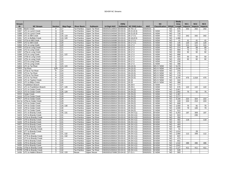|               |                           |                |                 |                    |                        |                         |                 |                     |            |                         |                | <b>Study</b> |                 |                 |                 |
|---------------|---------------------------|----------------|-----------------|--------------------|------------------------|-------------------------|-----------------|---------------------|------------|-------------------------|----------------|--------------|-----------------|-----------------|-----------------|
| <b>Stream</b> |                           |                |                 |                    |                        |                         | <b>DWQ</b>      |                     |            | <b>NC</b>               |                | Area         | NC <sub>1</sub> | NC <sub>2</sub> | NC <sub>3</sub> |
| ID            | <b>NC Stream</b>          | <b>Section</b> | <b>Map Page</b> | <b>River Basin</b> | <b>Subbasin</b>        | 14 Digit HUC            | <b>Subbasin</b> | <b>NC DWQ Index</b> | <b>HUC</b> | Classification   303(d) |                | Length       | <b>Impacts</b>  | <b>Impacts</b>  | Impacts         |
| S386          | <b>Martin Creek</b>       |                | 117             | Tar-Pamlico        | <b>Upper Tar River</b> | 03020101130010          | 03-03-02        | 28-78-1-3           | 03020101   |                         | NO.            | 678          | 202             | 202             | 202             |
| S387          | UT1 to Lynch Creek        | Q              | 118             | Tar-Pamlico        | <b>Upper Tar River</b> | 03020101040040          | 03-03-01        | 28-21-(0.3)         | 03020101   | C-NSW                   | <b>NO</b>      | 341          |                 |                 |                 |
| S388          | UT2 to Lynch Creek        | Q              | 118             | Tar-Pamlico        | <b>Upper Tar River</b> | 03020101040040 03-03-01 |                 | $28 - 21 - (0.3)$   | 03020101   | C-NSW                   | <b>NO</b>      | 716          |                 |                 |                 |
| S389          | UT1 to Mill Creek         | Q              | 118, 119        | Tar-Pamlico        | <b>Upper Tar River</b> | 03020101030080          | 03-03-01        | 28-17-3-1           | 03020101   | C-NSW                   | <b>NO</b>      | 713          | 342             | 342             | 342             |
| S391          | UT1 to Buffalo Creek      | Q              | 119, 120        | Tar-Pamlico        | <b>Upper Tar River</b> | 03020101040030          | 03-03-01        | $28-18-(0.5)$       | 03020101   | C-NSW                   | <b>NO</b>      | 1,386        |                 |                 |                 |
| S392          | UT2a to Mill Creek        | $\Omega$       | 120             | Tar-Pamlico        | <b>Upper Tar River</b> | 03020101030080          | 03-03-01        | 28-17-3-1           | 03020101   | C-NSW                   | <b>NO</b>      | 41           | 41              | 41              | 41              |
| S393          | UT2 to Mill Creek         | Q              | 120             | Tar-Pamlico        | <b>Upper Tar River</b> | 03020101030080          | 03-03-01        | 28-17-3-1           | 03020101   | C-NSW                   | <b>NO</b>      | 135          | 120             | 120             | 120             |
| S394          | UT1 to Long Creek         | Q              | 120             | Tar-Pamlico        | <b>Upper Tar River</b> | 03020101030080          | 03-03-01        | 28-17-3             | 03020101   | C-NSW                   | <b>NO</b>      | 599          | 111             | 111             | 111             |
| S395          | UT2a to Long Creek        | Q              | 121             | Tar-Pamlico        | <b>Upper Tar River</b> | 03020101030080          | 03-03-01        | 28-17-3             | 03020101   | C-NSW                   | <b>NO</b>      | 374          | 89              | 89              | 89              |
| S396          | UT2 to Long Creek         | Q              | 121             | Tar-Pamlico        | <b>Upper Tar River</b> | 03020101030080          | 03-03-01        | 28-17-3             | 03020101   | C-NSW                   | <b>NO</b>      | 889          | 72              | 72              | $\overline{72}$ |
| S397          | UT5a to Long Creek        | Q              | 121             | Tar-Pamlico        | <b>Upper Tar River</b> | 03020101030080          | 03-03-01        | 28-17-3             | 03020101   | C-NSW                   | <b>NO</b>      | 959          | 92              | 92              | 92              |
| S398          | UT5 to Long Creek         | Q              | 121, 122        | Tar-Pamlico        | <b>Upper Tar River</b> | 03020101030080          | 03-03-01        | 28-17-3             | 03020101   | C-NSW                   | <b>NO</b>      | 888          |                 |                 |                 |
| S399          | UT5b to Long Creek        | Q              | 121             | Tar-Pamlico        | <b>Upper Tar River</b> | 03020101030080          | 03-03-01        | 28-17-3             | 03020101   | C-NSW                   | <b>NO</b>      | 925          | 50              | 50              | 50              |
| S400          | UT5c to Long Creek        | Q              | 122             | Tar-Pamlico        | <b>Upper Tar River</b> | 03020101030080          | 03-03-01        | $28 - 17 - 3$       | 03020101   | C-NSW                   | <b>NO</b>      | 459          | 92              | 92              | 92              |
| S401          | UT3 to Long Creek         | O              | 123             | Tar-Pamlico        | <b>Upper Tar River</b> | 03020101030080          | 03-03-01        | 28-17-3             | 03020101   | C-NSW                   | <b>NO</b>      | 230          |                 |                 |                 |
| S402          | UT4 to Long Creek         | Q              | 123             | Tar-Pamlico        | <b>Upper Tar River</b> | 03020101030080          | 03-03-01        | 28-17-3             | 03020101   | C-NSW                   | <b>NO</b>      | 398          |                 |                 |                 |
| S403          | UT1 to Tar River          | Q              | 123, 124        | Tar-Pamlico        | <b>Upper Tar River</b> | 03020101040030          | 03-03-01        | 28-(15.5)           | 03020101   | <b>WS-IV NSW</b>        | <b>NO</b>      | 5,476        |                 |                 |                 |
| S404          | Tar River                 | Q/R            | 124             | Tar-Pamlico        | <b>Upper Tar River</b> | 03020101040010          | 03-03-01        | $28-(15.5)$         | 03020101   | <b>WS-IV NSW</b>        | <b>NO</b>      | 1,036        |                 |                 |                 |
| S405          | UT3a to Tar River         | $\mathsf{R}$   | 124             | Tar-Pamlico        | <b>Upper Tar River</b> | 03020101040010          | 03-03-01        | $28-(15.5)$         | 03020101   | WS-IV NSW               | <b>NO</b>      | 243          |                 |                 |                 |
| S406          | UT3 to Tar River          | $\mathsf{R}$   | 124             | Tar-Pamlico        | <b>Upper Tar River</b> | 03020101040010          | 03-03-01        | $28-(15.5)$         | 03020101   | <b>WS-IV NSW</b>        | <b>NO</b>      | 276          |                 |                 |                 |
| S407          | UT2a to Tar River         | $\mathsf{R}$   | 125             | Tar-Pamlico        | <b>Upper Tar River</b> | 03020101040010          | 03-03-01        | 28-(15.5)           | 03020101   | <b>WS-IV NSW</b>        | <b>NO</b>      | 119          |                 |                 |                 |
| S408          | UT2 to Tar River          | R              | 125             | Tar-Pamlico        | <b>Upper Tar River</b> | 03020101040010          | 03-03-01        | $28-(15.5)$         | 03020101   | <b>WS-IV NSW</b>        | <b>NO</b>      | 3,346        | 475             | 1.018           | 475             |
| S409          | UT1 to Taylors Creek      | $\mathsf{R}$   | 126             | Tar-Pamlico        | <b>Upper Tar River</b> | 03020101030050          | 03-03-01        | 28-16               | 03020101   | <b>WS-IV NSW</b>        | <b>NO</b>      | 310          |                 |                 |                 |
| S410          | UT1 to Billys Creek       | S              | 126             | Tar-Pamlico        | <b>Upper Tar River</b> | 03020101040020          | 03-03-01        | 28-20               | 03020101   | <b>WS-IV NSW</b>        | <b>NO</b>      | 388          |                 |                 |                 |
| S411          | <b>Franklinton Branch</b> | S              | 127             | Tar-Pamlico        | <b>Upper Tar River</b> | 03020101050010          | 03-03-01        | 28-29-4             | 03020101   | C-NSW                   | <b>NO</b>      | 777          |                 |                 |                 |
| S412          | UT1 to Franklinton Branch | S              | 127, 128        | Tar-Pamlico        | <b>Upper Tar River</b> | 03020101050010          | 03-03-01        | 28-29-4             | 03020101   | C-NSW                   | <b>NO</b>      | 676          | 122             | 122             | 122             |
| S413          | UT1 to Cedar Creek        | S              | 128             | Tar-Pamlico        | <b>Upper Tar River</b> | 03020101050010          | 03-03-01        | 28-29-(2)           | 03020101   | C-NSW                   | <b>NO</b>      | 2,567        |                 |                 |                 |
| S414          | UT2 to Cedar Creek        | S              | 128, 129        | Tar-Pamlico        | <b>Upper Tar River</b> | 03020101050010          | 03-03-01        | 28-29-(2)           | 03020101   | C-NSW                   | <b>NO</b>      | 1,992        | 75              | 52              | 75              |
| S415          | Cedar Creek               | S              | 129             | Tar-Pamlico        | <b>Upper Tar River</b> | 03020101050010 03-03-01 |                 | $28 - 29 - (2)$     | 03020101   | C-NSW                   | <b>NO</b>      | 1,387        |                 |                 |                 |
| S416          | UT3 to Cedar Creek        | S              | 129             | Tar-Pamlico        | <b>Upper Tar River</b> | 03020101050010          | 03-03-01        | $28 - 29 - (2)$     | 03020101   | C-NSW                   | <b>NO</b>      | 2,277        |                 |                 |                 |
| S417          | UT5 to Cedar Creek        | S              | 129             | Tar-Pamlico        | <b>Upper Tar River</b> | 03020101050010          | 03-03-01        | $28 - 29 - (2)$     | 03020101   | C-NSW                   | <b>NO</b>      | 4,180        | 222             | 324             | 222             |
| S417a         | UT5a to Cedar Creek       | s              | 129             | Tar-Pamlico        | <b>Upper Tar River</b> | 03020101050010          | 03-03-01        | 28-29-(2)           | 03020101   | C-NSW                   | N <sub>O</sub> | 449          | 224             | 213             | 224             |
| S418          | UT4 to Cedar Creek        | S              | 129             | Tar-Pamlico        | <b>Upper Tar River</b> | 03020101050010          | 03-03-01        | 28-29-(2)           | 03020101   | C-NSW                   | <b>NO</b>      | 808          |                 |                 |                 |
| S419          | UT6 to Cedar Creek        | S              | 129, 130        | Tar-Pamlico        | <b>Upper Tar River</b> | 03020101050010 03-03-01 |                 | $28 - 29 - (2)$     | 03020101   | C-NSW                   | <b>NO</b>      | 1,560        | 75              | 91              | 75              |
| S420          | UT8 to Cedar Creek        | S              | 130             | Tar-Pamlico        | <b>Upper Tar River</b> | 03020101050010          | 03-03-01        | $28 - 29 - (2)$     | 03020101   | C-NSW                   | <b>NO</b>      | 1,590        | 79              | 100             | 79              |
| S421          | UT7 to Cedar Creek        | S              | 130             | Tar-Pamlico        | <b>Upper Tar River</b> | 03020101050010          | 03-03-01        | 28-29-(2)           | 03020101   | C-NSW                   | <b>NO</b>      | 512          |                 |                 |                 |
| S422          | UT1 to Brandy Creek       | S              | 130.131         | Tar-Pamlico        | <b>Upper Tar River</b> | 03020101050010          | 03-03-01        | $28 - 29 - 3 - (1)$ | 03020101   | <b>B-NSW</b>            | <b>NO</b>      | 4,263        | 197             | 309             | 197             |
| S423          | UT2 to Brandy Creek       | S              | 131             | Tar-Pamlico        | <b>Upper Tar River</b> | 03020101050010          | 03-03-01        | 28-29-3-(1)         | 03020101   | <b>B-NSW</b>            | <b>NO</b>      | 824          |                 | 235             |                 |
| S424          | UT2a to Brandy Creek      | S              | 131             | Tar-Pamlico        | <b>Upper Tar River</b> | 03020101050010          | 03-03-01        | 28-29-3-(1)         | 03020101   | <b>B-NSW</b>            | <b>NO</b>      | 350          |                 |                 |                 |
| S425          | UT6 to Brandy Creek       | S              | 131             | Tar-Pamlico        | <b>Upper Tar River</b> | 03020101050010          | 03-03-01        | 28-29-3-(1)         | 03020101   | <b>B-NSW</b>            | <b>NO</b>      | 482          | 119             |                 | 119             |
| S426          | UT5 to Brandy Creek       | S              | 131             | Tar-Pamlico        | <b>Upper Tar River</b> | 03020101050010          | 03-03-01        | 28-29-3-(1)         | 03020101   | <b>B-NSW</b>            | <b>NO</b>      | 424          |                 |                 |                 |
| S427          | UT3 to Brandy Creek       | S              | 131             | Tar-Pamlico        | <b>Upper Tar River</b> | 03020101050010 03-03-01 |                 | $28 - 29 - 3 - (1)$ | 03020101   | <b>B-NSW</b>            | <b>NO</b>      | 483          |                 |                 |                 |
| S428          | UT4 to Brandy Creek       | S              | 131             | Tar-Pamlico        | <b>Upper Tar River</b> | 03020101050010          | 03-03-01        | 28-29-3-(1)         | 03020101   | <b>B-NSW</b>            | <b>NO</b>      | 894          |                 |                 |                 |
| S429          | UT4a to Brandy Creek      | S              | 131             | Tar-Pamlico        | <b>Upper Tar River</b> | 03020101050010          | 03-03-01        | $28 - 29 - 3 - (1)$ | 03020101   | <b>B-NSW</b>            | <b>NO</b>      | 51           |                 |                 |                 |
| S430          | UT7 to Brandy Creek       | S              | 131             | Tar-Pamlico        | <b>Upper Tar River</b> | 03020101050010          | 03-03-01        | 28-29-3-(1)         | 03020101   | <b>B-NSW</b>            | <b>NO</b>      | 1.014        |                 | 29              |                 |
| S431          | <b>Brandy Creek</b>       | S              | 131, 132        | Tar-Pamlico        | <b>Upper Tar River</b> | 03020101050010          | 03-03-01        | 28-29-3-(1)         | 03020101   | <b>B-NSW</b>            | <b>NO</b>      | 1,980        | 112             | 349             | 112             |
| S432          | UT7b to Brandy Creek      | S              | 131.132         | Tar-Pamlico        | <b>Upper Tar River</b> | 03020101050010          | 03-03-01        | 28-29-3-(1)         | 03020101   | <b>B-NSW</b>            | <b>NO</b>      | 837          |                 |                 |                 |
| S433          | UT7a to Brandy Creek      | S              | 131             | Tar-Pamlico        | <b>Upper Tar River</b> | 03020101050010          | 03-03-01        | 28-29-3-(1)         | 03020101   | <b>B-NSW</b>            | <b>NO</b>      | 473          |                 |                 |                 |
| S434          | UT8 to Brandy Creek       | S              | 132             | Tar-Pamlico        | <b>Upper Tar River</b> | 03020101050010          | 03-03-01        | 28-29-3-(1)         | 03020101   | <b>B-NSW</b>            | <b>NO</b>      | 651          |                 |                 |                 |
| S435          | UT9 to Brandy Creek       | S              | 132             | Tar-Pamlico        | <b>Upper Tar River</b> | 03020101050010          | 03-03-01        | 28-29-3-(1)         | 03020101   | <b>B-NSW</b>            | <b>NO</b>      | 1,542        | 486             | 486             | 486             |
| S435          | UT9 to Brandy Creek       | т              | 132             | Tar-Pamlico        | <b>Upper Tar River</b> | 03020101050010          | 03-03-01        | 28-29-3-(1)         | 03020101   | <b>B-NSW</b>            | <b>NO</b>      | 1,841        |                 |                 |                 |
| S435a         | UT9a to Brandy Creek      | S              | 132             | Tar-Pamlico        | <b>Upper Tar River</b> | 03020101050010 03-03-01 |                 | 28-29-3-(1)         | 03020101   | <b>B-NSW</b>            | <b>NO</b>      | 1,127        | 411             | 411             | 411             |
| S435b         | UT9b to Brandy Creek      | S              | 132             | Tar-Pamlico        | <b>Upper Tar River</b> | 03020101050010          | 03-03-01        | 28-29-3-(1)         | 03020101   | <b>B-NSW</b>            | <b>NO</b>      | 528          |                 |                 |                 |
| S436          | UT1 to Hattle's Branch    | т              | 132, 133        | Neuse              | <b>Upper Neuse</b>     | 03020201070060 03-04-02 |                 | $27 - 21 - 1$       | 03020201   | C-NSW                   | NO.            | 583          |                 |                 |                 |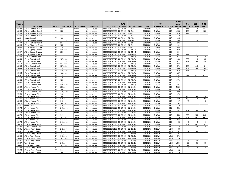|                   |                        |                |                 |                    |                                   |                         |                 |                     |            |                       |                | <b>Study</b> |                 |                 |                 |
|-------------------|------------------------|----------------|-----------------|--------------------|-----------------------------------|-------------------------|-----------------|---------------------|------------|-----------------------|----------------|--------------|-----------------|-----------------|-----------------|
| <b>Stream</b>     |                        |                |                 |                    |                                   |                         | <b>DWQ</b>      |                     |            | <b>NC</b>             |                | Area         | NC <sub>1</sub> | NC <sub>2</sub> | NC <sub>3</sub> |
| ID                | <b>NC Stream</b>       | <b>Section</b> | <b>Map Page</b> | <b>River Basin</b> | <b>Subbasin</b>                   | 14 Digit HUC            | <b>Subbasin</b> | <b>NC DWQ Index</b> | <b>HUC</b> | Classification 303(d) |                | Length       | <b>Impacts</b>  | <b>Impacts</b>  | Impacts         |
| S437              | UT2 to Hattle's Branch |                | 133             | Neuse              | Upper Neuse                       | 03020201070060          | 03-04-02        | $27 - 21 - 1$       | 03020201   | C-NSW                 | <b>NO</b>      | 964          | 114             | 13              | 114             |
| S438              | UT3 to Hattle's Branch |                | 133             | Neuse              | <b>Upper Neuse</b>                | 03020201070060          | 03-04-02        | $27 - 21 - 1$       | 03020201   | C-NSW                 | <b>NO</b>      | 1,123        | 128             | 52              | 128             |
| S439              | UT4 to Hattle's Branch |                | 133             | Neuse              | <b>Upper Neuse</b>                | 03020201070060 03-04-02 |                 | $27 - 21 - 1$       | 03020201   | C-NSW                 | <b>NO</b>      | 816          | 173             |                 | 173             |
| S440              | UT5 to Hattle's Branch |                | 133             | Neuse              | <b>Upper Neuse</b>                | 03020201070060          | 03-04-02        | $27 - 21 - 1$       | 03020201   | C-NSW                 | <b>NO</b>      | 445          |                 |                 |                 |
| S441              | Hatters Branch         |                | 133             | Neuse              | <b>Upper Neuse</b>                | 03020201070070          | 03-04-02        | 27-23-4             | 03020201   | C-NSW                 | <b>NO</b>      | 425          |                 |                 |                 |
| S442              | UT1 to Hatters Branch  |                | 133.134         | Neuse              | <b>Upper Neuse</b>                | 03020201070070          | 03-04-02        | 27-23-4             | 03020201   | C-NSW                 | N <sub>O</sub> | 568          |                 | 29              |                 |
| S443              | UT2 to Hatters Branch  | $\mathbf \tau$ | 134             | Neuse              | <b>Upper Neuse</b>                | 03020201070070          | 03-04-02        | 27-23-4             | 03020201   | C-NSW                 | N <sub>O</sub> | 281          |                 |                 |                 |
| $S44\overline{4}$ | UT1 to Richland Creek  | U              | 135             | Neuse              | <b>Upper Neuse</b>                | 03020201070060          | 03-04-02        | $27 - 21$           | 03020201   | C-NSW                 | N <sub>O</sub> | 461          |                 |                 |                 |
| S445              | UT2 to Richland Creek  | U              | 135             | Neuse              | <b>Upper Neuse</b>                | 03020201070060          | 03-04-02        | $27 - 21$           | 03020201   | C-NSW                 | <b>NO</b>      | 499          |                 |                 |                 |
| S446              | UT1 to Spring Branch   | U              | 135, 136        | Neuse              | <b>Upper Neuse</b>                | 03020201070070          | 03-04-02        | 27-23-4-1           | 03020201   | C-NSW                 | N <sub>O</sub> | 1,828        |                 |                 |                 |
| S447              | UT2 to Spring Branch   | U              | 136             | Neuse              | <b>Upper Neuse</b>                | 03020201070070          | 03-04-02        | 27-23-4-1           | 03020201   | C-NSW                 | N <sub>O</sub> | 164          |                 |                 |                 |
| S448              | UT3 to Spring Branch   | U              | 137             | Neuse              | <b>Upper Neuse</b>                | 03020201070070          | 03-04-02        | 27-23-4-1           | 03020201   | C-NSW                 | <b>NO</b>      | 1,641        | 227             | 227             | 227             |
| S449              | UT10 to Smith Creek    | $\mathsf{U}$   | 137             | Neuse              | <b>Upper Neuse</b>                | 03020201070070          | 03-04-02        | $27 - 23 - (2)$     | 03020201   | C-NSW                 | <b>NO</b>      | 821          | 9               | 8               | 9               |
| S450              | UT1 to Smith Creek     | U              | 137.138         | Neuse              | Upper Neuse                       | 03020201070070          | 03-04-02        | $27 - 23 - (2)$     | 03020201   | C-NSW                 | N <sub>O</sub> | 1,430        | 292             | 116             | 25              |
| S451              | UT2 to Smith Creek     | U              | 137, 138        | Neuse              | <b>Upper Neuse</b>                | 03020201070070          | 03-04-02        | $27 - 23 - (2)$     | 03020201   | C-NSW                 | <b>NO</b>      | 1,811        | 237             | 169             | 290             |
| S452              | UT2a to Smith Creek    | $\cup$         | 137, 138        | Neuse              | <b>Upper Neuse</b>                | 03020201070070          | 03-04-02        | $27 - 23 - (2)$     | 03020201   | C-NSW                 | N <sub>O</sub> | 1,022        |                 |                 |                 |
| S453              | UT3 to Smith Creek     | U              | 137, 138        | Neuse              | <b>Upper Neuse</b>                | 03020201070070          | 03-04-02        | $27 - 23 - (2)$     | 03020201   | C-NSW                 | <b>NO</b>      | 976          | 199             | 110             | 84              |
| S454              | UT4 to Smith Creek     | U              | 138             | Neuse              | Upper Neuse                       | 03020201070070          | 03-04-02        | $27 - 23 - (2)$     | 03020201   | C-NSW                 | <b>NO</b>      | 806          | 108             | 205             | 204             |
| S455              | UT5 to Smith Creek     | $\mathbf{U}$   | 138, 139        | Neuse              | <b>Upper Neuse</b>                | 03020201070070          | 03-04-02        | $27 - 23 - (2)$     | 03020201   | C-NSW                 | N <sub>O</sub> | 1,875        | 151             | 151             | 151             |
| S456              | UT6 to Smith Creek     | U              | 138, 139        | Neuse              | <b>Upper Neuse</b>                | 03020201070070          | 03-04-02        | $27 - 23 - (2)$     | 03020201   | C-NSW                 | <b>NO</b>      | 657          |                 |                 |                 |
| S457              | UT8 to Smith Creek     | $\cup$         | 139             | Neuse              | <b>Upper Neuse</b>                | 03020201070070 03-04-02 |                 | $27 - 23 - (2)$     | 03020201   | C-NSW                 | <b>NO</b>      | 2,385        | 422             | 321             | 422             |
| S458              | UT8a to Smith Creek    | U              | 139             | Neuse              | <b>Upper Neuse</b>                | 03020201070070          | 03-04-02        | $27 - 23 - (2)$     | 03020201   | C-NSW                 | N <sub>O</sub> | 281          |                 |                 |                 |
| S459              | UT7 to Smith Creek     | U              | 139             | Neuse              | <b>Upper Neuse</b>                | 03020201070070          | 03-04-02        | $27 - 23 - (2)$     | 03020201   | C-NSW                 | <b>NO</b>      | 1,176        |                 |                 |                 |
| S460              | UT9 to Smith Creek     | U              | 139             | Neuse              | <b>Upper Neuse</b>                | 03020201070070          | 03-04-02        | $27 - 23 - (2)$     | 03020201   | C-NSW                 | N <sub>O</sub> | 1,252        |                 |                 |                 |
| S461              | UT11 to Smith Creek    | U              | 139, 140        | Neuse              | <b>Upper Neuse</b>                | 03020201070070          | 03-04-02        | $27 - 23 - (2)$     | 03020201   | C-NSW                 | <b>NO</b>      | 1,387        |                 |                 |                 |
| S462              | UT11 to Neuse River    | U              | 139, 140        | Neuse              | <b>Upper Neuse</b>                | 03020201070060          | 03-04-02        | $27-(20.7)$         | 03020201   | C-NSW                 | <b>NO</b>      | 2,120        |                 |                 |                 |
| S463              | UT11b to Neuse River   | U              | 140             | Neuse              | Upper Neuse                       | 03020201070060          | 03-04-02        | 27-(20.7)           | 03020201   | C-NSW                 | <b>NO</b>      | 120          |                 |                 |                 |
| S464              | UT11a to Neuse River   | U              | 139, 140        | Neuse              | <b>Upper Neuse</b>                | 03020201070060          | 03-04-02        | $27-(20.7)$         | 03020201   | C-NSW                 | <b>NO</b>      | 566          |                 |                 |                 |
| S465              | UT1a to Neuse River    | U              | 140             | Neuse              | <b>Upper Neuse</b>                | 03020201070060          | 03-04-02        | $27-(20.7)$         | 03020201   | C-NSW                 | <b>NO</b>      | 472          |                 |                 |                 |
| S466              | UT1 to Neuse River     | U              | 140             | Neuse              | <b>Upper Neuse</b>                | 03020201070060          | 03-04-02        | $27-(20.7)$         | 03020201   | C-NSW                 | N <sub>O</sub> | 1,331        | 230             | 199             | 230             |
| S467              | UT2 to Neuse River     | $\cup$         | 140, 141        | Neuse              | Upper Neuse                       | 03020201070060          | 03-04-02        | $27-(20.7)$         | 03020201   | C-NSW                 | <b>NO</b>      | 1,120        | 453             | 158             | 453             |
| S468              | UT2a to Neuse River    | U              | 140             | Neuse              | <b>Upper Neuse</b>                | 03020201070060          | 03-04-02        | $27-(20.7)$         | 03020201   | C-NSW                 | N <sub>O</sub> | 417          | 45              |                 | 45              |
| S470              | UT3 to Neuse River     | U              | 140, 141        | Neuse              | <b>Upper Neuse</b>                | 03020201070060          | 03-04-02        | $27-(20.7)$         | 03020201   | C-NSW                 | <b>NO</b>      | 743          |                 |                 |                 |
| S471              | <b>Neuse River</b>     | U              | 140.141         | Neuse              | <b>Upper Neuse</b>                | 03020201070060          | 03-04-02        | $27-(20.7)$         | 03020201   | C-NSW                 | <b>NO</b>      | 1,476        |                 |                 |                 |
| S472              | UT4 to Neuse River     | U              | 140, 141        | Neuse              | <b>Upper Neuse</b>                | 03020201070070          | 03-04-02        | $27-(20.7)$         | 03020201   | C-NSW                 | <b>NO</b>      | 831          |                 |                 |                 |
| S473              | UT5 to Neuse River     | U              | 141             | Neuse              |                                   | 03020201070080          | 03-04-02        | 27-(20.7)           | 03020201   | C-NSW                 | <b>NO</b>      | 547          | 169             | 169             | 169             |
| S474              | UT5a to Neuse River    | $\cup$         | 141             | Neuse              | Upper Neuse                       | 03020201070080          | 03-04-02        | 27-(20.7)           | 03020201   | C-NSW                 | N <sub>O</sub> | 74           |                 |                 |                 |
| S475              | UT6 to Neuse River     | U              | 141             | Neuse              | Upper Neuse<br><b>Upper Neuse</b> | 03020201070080          | 03-04-02        | $27-(20.7)$         | 03020201   | C-NSW                 | N <sub>O</sub> | 550          | 265             | 265             | 265             |
| S476              | UT7 to Neuse River     | п              | 141, 142        | Neuse              | <b>Upper Neuse</b>                | 03020201070080          | 03-04-02        | $27-(20.7)$         | 03020201   | C-NSW                 | N <sub>O</sub> | 1,756        | 467             | 467             | 467             |
| S477              | UT8 to Neuse River     | U              | 141, 142        | Neuse              | Upper Neuse                       | 03020201070080          | 03-04-02        | $27-(20.7)$         | 03020201   | C-NSW                 | N <sub>O</sub> | 623          |                 |                 |                 |
| S478              | UT9 to Neuse River     | U              | 141, 142        | Neuse              | Upper Neuse                       | 03020201070080          | 03-04-02        | $27-(20.7)$         | 03020201   | C-NSW                 | <b>NO</b>      | 493          | 6               | 6               | 6               |
| S479              | UT10 to Neuse River    | U              | 142             | Neuse              | <b>Upper Neuse</b>                | 03020201070080          | 03-04-02        | 27-(20.7)           | 03020201   | C-NSW                 | N <sub>O</sub> | 737          | 301             | 301             | 301             |
| S480              | UT10a to Neuse River   | U              | 142             | Neuse              | <b>Upper Neuse</b>                | 03020201070080          | 03-04-02        | $27-(20.7)$         | 03020201   | C-NSW                 | <b>NO</b>      | 78           | 78              | 78              | 78              |
| S481              | UT1a to Perry Creek    | U              | 142, 143        | Neuse              | Upper Neuse                       | 03020201070100          | 03-04-02        | $27 - 25 - (1)$     | 03020201   | <b>B-NSW</b>          | <b>YES</b>     | 435          |                 |                 |                 |
| S482              | UT1 to Perry Creek     | $\mathbf{U}$   | 142.143         | Neuse              | <b>Upper Neuse</b>                | 03020201070100          | 03-04-02        | 27-25-(1)           | 03020201   | <b>B-NSW</b>          | <b>YES</b>     | 202          | 59              | 59              | 59              |
| S483              | UT1b to Perry Creek    | U              | 142, 143        | Neuse              | <b>Upper Neuse</b>                | 03020201070100          | 03-04-02        | 27-25-(1)           | 03020201   | <b>B-NSW</b>          | <b>YES</b>     | 61           |                 |                 |                 |
| S484              | UT2 to Perry Creek     | U              | 142, 143        | Neuse              | <b>Upper Neuse</b>                | 03020201070100          | 03-04-02        | $27 - 25 - (1)$     | 03020201   | <b>B-NSW</b>          | <b>YES</b>     | 976          |                 |                 |                 |
| S485              | UT1c to Perry Creek    | U              | 142, 143        | Neuse              | <b>Upper Neuse</b>                | 03020201070100          | 03-04-02        | $27 - 25 - (1)$     | 03020201   | <b>B-NSW</b>          | <b>YES</b>     | 194          |                 |                 |                 |
| S486              | UT6 to Perry Creek     | $\vee$         | 142, 143        | Neuse              | <b>Upper Neuse</b>                | 03020201070100          | 03-04-02        | $27 - 25 - (1)$     | 03020201   | <b>B-NSW</b>          | <b>YES</b>     | 242          | 74              | 74              | 74              |
| S487              | Perry Creek            | $\vee$         | 143, 144        | Neuse              | Upper Neuse                       | 03020201070100          | 03-04-02        | 27-25-(1)           | 03020201   | <b>B-NSW</b>          | <b>YES</b>     | 1,306        | 65              | 65              | 65              |
| S488              | UT3 to Perry Creek     | $\vee$         | 143, 144        | Neuse              | <b>Upper Neuse</b>                | 03020201070100          | 03-04-02        | $27 - 25 - (1)$     | 03020201   | <b>B-NSW</b>          | <b>YES</b>     | 1,354        | 22              | 22              | 22              |
| S489              | UT4a to Perry Creek    | $\mathcal{N}$  | 144             | Neuse              | <b>Upper Neuse</b>                | 03020201070100 03-04-02 |                 | $27 - 25 - (1)$     | 03020201   | <b>B-NSW</b>          | YES            | 512          | 8               | 8               | 8               |
| S490              | UT4c to Perry Creek    | $\vee$         | 144             | Neuse              | <b>Upper Neuse</b>                | 03020201070100          | 03-04-02        | $27 - 25 - (1)$     | 03020201   | <b>B-NSW</b>          | <b>YES</b>     | 63           |                 |                 |                 |
| S491              | UT4b to Perry Creek    | $\vee$         | 144             | Neuse              | <b>Upper Neuse</b>                | 03020201070100 03-04-02 |                 | $27 - 25 - (1)$     | 03020201   | <b>B-NSW</b>          | <b>YES</b>     | 554          |                 |                 |                 |
|                   |                        |                |                 |                    |                                   |                         |                 |                     |            |                       |                |              |                 |                 |                 |